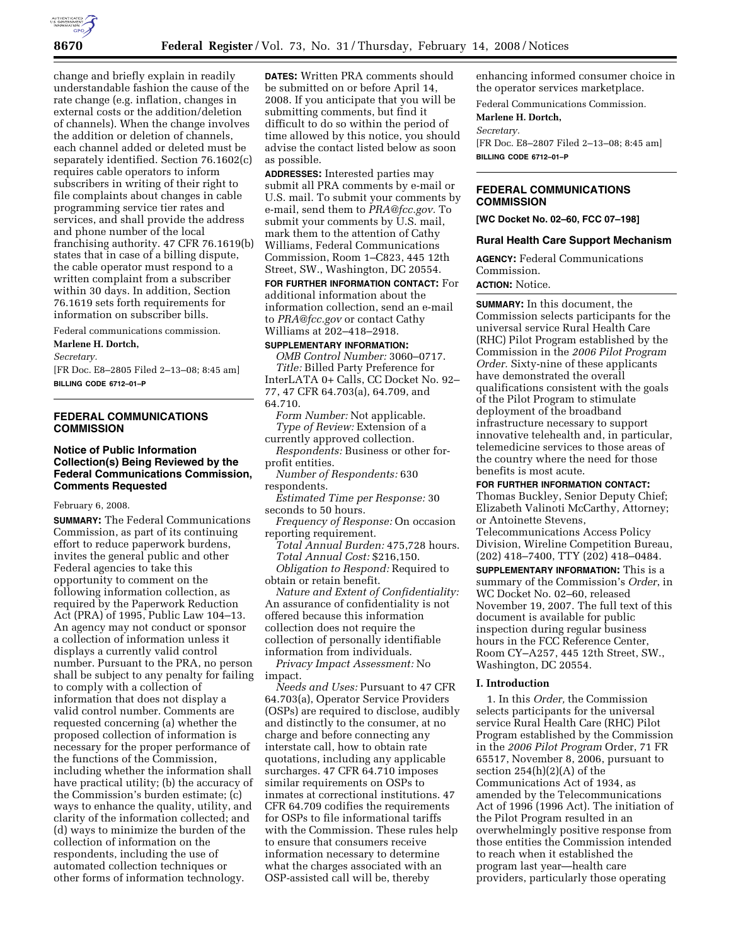

change and briefly explain in readily understandable fashion the cause of the rate change (e.g. inflation, changes in external costs or the addition/deletion of channels). When the change involves the addition or deletion of channels, each channel added or deleted must be separately identified. Section 76.1602(c) requires cable operators to inform subscribers in writing of their right to file complaints about changes in cable programming service tier rates and services, and shall provide the address and phone number of the local franchising authority. 47 CFR 76.1619(b) states that in case of a billing dispute, the cable operator must respond to a written complaint from a subscriber within 30 days. In addition, Section 76.1619 sets forth requirements for information on subscriber bills.

Federal communications commission.

# **Marlene H. Dortch,**

*Secretary.* 

[FR Doc. E8–2805 Filed 2–13–08; 8:45 am] **BILLING CODE 6712–01–P** 

# **FEDERAL COMMUNICATIONS COMMISSION**

# **Notice of Public Information Collection(s) Being Reviewed by the Federal Communications Commission, Comments Requested**

February 6, 2008.

**SUMMARY:** The Federal Communications Commission, as part of its continuing effort to reduce paperwork burdens, invites the general public and other Federal agencies to take this opportunity to comment on the following information collection, as required by the Paperwork Reduction Act (PRA) of 1995, Public Law 104–13. An agency may not conduct or sponsor a collection of information unless it displays a currently valid control number. Pursuant to the PRA, no person shall be subject to any penalty for failing to comply with a collection of information that does not display a valid control number. Comments are requested concerning (a) whether the proposed collection of information is necessary for the proper performance of the functions of the Commission, including whether the information shall have practical utility; (b) the accuracy of the Commission's burden estimate; (c) ways to enhance the quality, utility, and clarity of the information collected; and (d) ways to minimize the burden of the collection of information on the respondents, including the use of automated collection techniques or other forms of information technology.

**DATES:** Written PRA comments should be submitted on or before April 14, 2008. If you anticipate that you will be submitting comments, but find it difficult to do so within the period of time allowed by this notice, you should advise the contact listed below as soon as possible.

**ADDRESSES:** Interested parties may submit all PRA comments by e-mail or U.S. mail. To submit your comments by e-mail, send them to *PRA@fcc.gov.* To submit your comments by U.S. mail, mark them to the attention of Cathy Williams, Federal Communications Commission, Room 1–C823, 445 12th Street, SW., Washington, DC 20554.

**FOR FURTHER INFORMATION CONTACT:** For additional information about the information collection, send an e-mail to *PRA@fcc.gov* or contact Cathy Williams at 202–418–2918.

# **SUPPLEMENTARY INFORMATION:**

*OMB Control Number:* 3060–0717. *Title:* Billed Party Preference for InterLATA 0+ Calls, CC Docket No. 92– 77, 47 CFR 64.703(a), 64.709, and 64.710.

*Form Number:* Not applicable. *Type of Review:* Extension of a currently approved collection.

*Respondents:* Business or other forprofit entities.

*Number of Respondents:* 630 respondents.

*Estimated Time per Response:* 30 seconds to 50 hours.

*Frequency of Response:* On occasion reporting requirement.

*Total Annual Burden:* 475,728 hours. *Total Annual Cost:* \$216,150. *Obligation to Respond:* Required to obtain or retain benefit.

*Nature and Extent of Confidentiality:*  An assurance of confidentiality is not offered because this information collection does not require the collection of personally identifiable information from individuals.

*Privacy Impact Assessment:* No impact.

*Needs and Uses:* Pursuant to 47 CFR 64.703(a), Operator Service Providers (OSPs) are required to disclose, audibly and distinctly to the consumer, at no charge and before connecting any interstate call, how to obtain rate quotations, including any applicable surcharges. 47 CFR 64.710 imposes similar requirements on OSPs to inmates at correctional institutions. 47 CFR 64.709 codifies the requirements for OSPs to file informational tariffs with the Commission. These rules help to ensure that consumers receive information necessary to determine what the charges associated with an OSP-assisted call will be, thereby

enhancing informed consumer choice in the operator services marketplace.

Federal Communications Commission.

**Marlene H. Dortch,** 

### *Secretary.*

[FR Doc. E8–2807 Filed 2–13–08; 8:45 am] **BILLING CODE 6712–01–P** 

# **FEDERAL COMMUNICATIONS COMMISSION**

**[WC Docket No. 02–60, FCC 07–198]** 

#### **Rural Health Care Support Mechanism**

**AGENCY:** Federal Communications Commission.

# **ACTION:** Notice.

**SUMMARY:** In this document, the Commission selects participants for the universal service Rural Health Care (RHC) Pilot Program established by the Commission in the *2006 Pilot Program Order.* Sixty-nine of these applicants have demonstrated the overall qualifications consistent with the goals of the Pilot Program to stimulate deployment of the broadband infrastructure necessary to support innovative telehealth and, in particular, telemedicine services to those areas of the country where the need for those benefits is most acute.

# **FOR FURTHER INFORMATION CONTACT:**

Thomas Buckley, Senior Deputy Chief; Elizabeth Valinoti McCarthy, Attorney; or Antoinette Stevens,

Telecommunications Access Policy Division, Wireline Competition Bureau, (202) 418–7400, TTY (202) 418–0484.

**SUPPLEMENTARY INFORMATION:** This is a summary of the Commission's *Order*, in WC Docket No. 02–60, released November 19, 2007. The full text of this document is available for public inspection during regular business hours in the FCC Reference Center, Room CY–A257, 445 12th Street, SW., Washington, DC 20554.

## **I. Introduction**

1. In this *Order,* the Commission selects participants for the universal service Rural Health Care (RHC) Pilot Program established by the Commission in the *2006 Pilot Program* Order, 71 FR 65517, November 8, 2006, pursuant to section 254(h)(2)(A) of the Communications Act of 1934, as amended by the Telecommunications Act of 1996 (1996 Act). The initiation of the Pilot Program resulted in an overwhelmingly positive response from those entities the Commission intended to reach when it established the program last year—health care providers, particularly those operating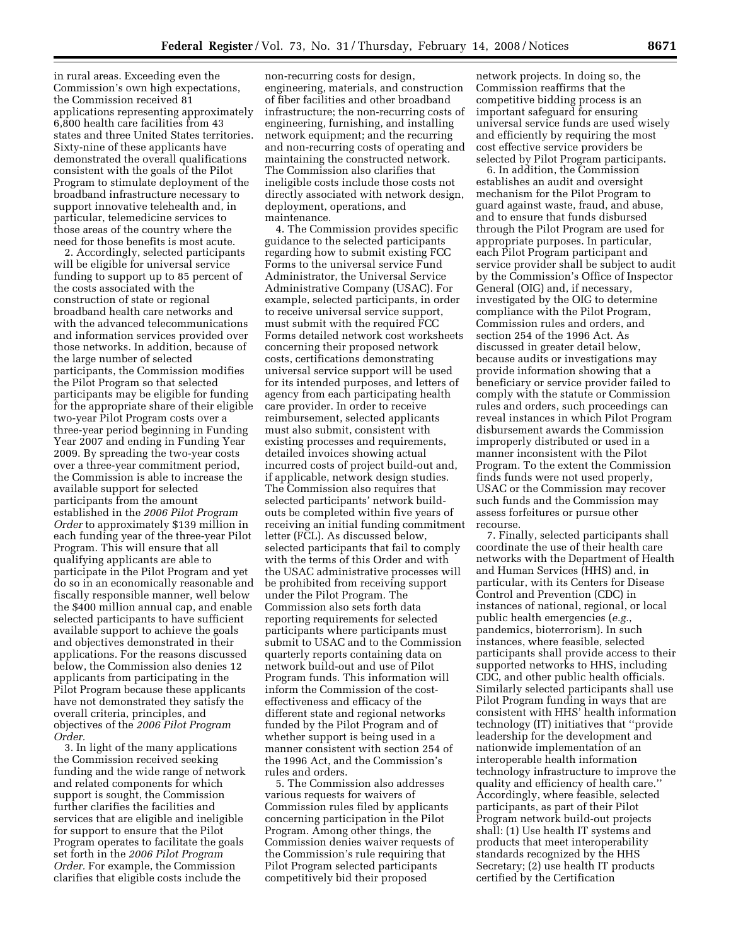in rural areas. Exceeding even the Commission's own high expectations, the Commission received 81 applications representing approximately 6,800 health care facilities from 43 states and three United States territories. Sixty-nine of these applicants have demonstrated the overall qualifications consistent with the goals of the Pilot Program to stimulate deployment of the broadband infrastructure necessary to support innovative telehealth and, in particular, telemedicine services to those areas of the country where the need for those benefits is most acute.

2. Accordingly, selected participants will be eligible for universal service funding to support up to 85 percent of the costs associated with the construction of state or regional broadband health care networks and with the advanced telecommunications and information services provided over those networks. In addition, because of the large number of selected participants, the Commission modifies the Pilot Program so that selected participants may be eligible for funding for the appropriate share of their eligible two-year Pilot Program costs over a three-year period beginning in Funding Year 2007 and ending in Funding Year 2009. By spreading the two-year costs over a three-year commitment period, the Commission is able to increase the available support for selected participants from the amount established in the *2006 Pilot Program Order* to approximately \$139 million in each funding year of the three-year Pilot Program. This will ensure that all qualifying applicants are able to participate in the Pilot Program and yet do so in an economically reasonable and fiscally responsible manner, well below the \$400 million annual cap, and enable selected participants to have sufficient available support to achieve the goals and objectives demonstrated in their applications. For the reasons discussed below, the Commission also denies 12 applicants from participating in the Pilot Program because these applicants have not demonstrated they satisfy the overall criteria, principles, and objectives of the *2006 Pilot Program Order.* 

3. In light of the many applications the Commission received seeking funding and the wide range of network and related components for which support is sought, the Commission further clarifies the facilities and services that are eligible and ineligible for support to ensure that the Pilot Program operates to facilitate the goals set forth in the *2006 Pilot Program Order.* For example, the Commission clarifies that eligible costs include the

non-recurring costs for design, engineering, materials, and construction of fiber facilities and other broadband infrastructure; the non-recurring costs of engineering, furnishing, and installing network equipment; and the recurring and non-recurring costs of operating and maintaining the constructed network. The Commission also clarifies that ineligible costs include those costs not directly associated with network design, deployment, operations, and maintenance.

4. The Commission provides specific guidance to the selected participants regarding how to submit existing FCC Forms to the universal service Fund Administrator, the Universal Service Administrative Company (USAC). For example, selected participants, in order to receive universal service support, must submit with the required FCC Forms detailed network cost worksheets concerning their proposed network costs, certifications demonstrating universal service support will be used for its intended purposes, and letters of agency from each participating health care provider. In order to receive reimbursement, selected applicants must also submit, consistent with existing processes and requirements, detailed invoices showing actual incurred costs of project build-out and, if applicable, network design studies. The Commission also requires that selected participants' network buildouts be completed within five years of receiving an initial funding commitment letter (FCL). As discussed below, selected participants that fail to comply with the terms of this Order and with the USAC administrative processes will be prohibited from receiving support under the Pilot Program. The Commission also sets forth data reporting requirements for selected participants where participants must submit to USAC and to the Commission quarterly reports containing data on network build-out and use of Pilot Program funds. This information will inform the Commission of the costeffectiveness and efficacy of the different state and regional networks funded by the Pilot Program and of whether support is being used in a manner consistent with section 254 of the 1996 Act, and the Commission's rules and orders.

5. The Commission also addresses various requests for waivers of Commission rules filed by applicants concerning participation in the Pilot Program. Among other things, the Commission denies waiver requests of the Commission's rule requiring that Pilot Program selected participants competitively bid their proposed

network projects. In doing so, the Commission reaffirms that the competitive bidding process is an important safeguard for ensuring universal service funds are used wisely and efficiently by requiring the most cost effective service providers be selected by Pilot Program participants.

6. In addition, the Commission establishes an audit and oversight mechanism for the Pilot Program to guard against waste, fraud, and abuse, and to ensure that funds disbursed through the Pilot Program are used for appropriate purposes. In particular, each Pilot Program participant and service provider shall be subject to audit by the Commission's Office of Inspector General (OIG) and, if necessary, investigated by the OIG to determine compliance with the Pilot Program, Commission rules and orders, and section 254 of the 1996 Act. As discussed in greater detail below, because audits or investigations may provide information showing that a beneficiary or service provider failed to comply with the statute or Commission rules and orders, such proceedings can reveal instances in which Pilot Program disbursement awards the Commission improperly distributed or used in a manner inconsistent with the Pilot Program. To the extent the Commission finds funds were not used properly, USAC or the Commission may recover such funds and the Commission may assess forfeitures or pursue other recourse.

7. Finally, selected participants shall coordinate the use of their health care networks with the Department of Health and Human Services (HHS) and, in particular, with its Centers for Disease Control and Prevention (CDC) in instances of national, regional, or local public health emergencies (*e.g.*, pandemics, bioterrorism). In such instances, where feasible, selected participants shall provide access to their supported networks to HHS, including CDC, and other public health officials. Similarly selected participants shall use Pilot Program funding in ways that are consistent with HHS' health information technology (IT) initiatives that ''provide leadership for the development and nationwide implementation of an interoperable health information technology infrastructure to improve the quality and efficiency of health care.'' Accordingly, where feasible, selected participants, as part of their Pilot Program network build-out projects shall: (1) Use health IT systems and products that meet interoperability standards recognized by the HHS Secretary; (2) use health IT products certified by the Certification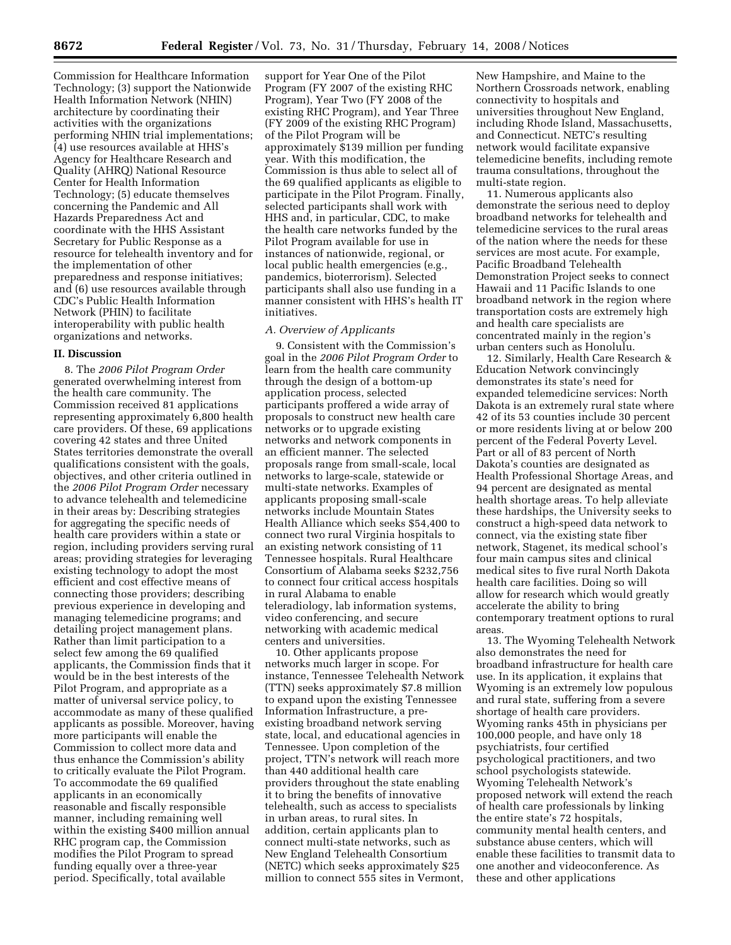Commission for Healthcare Information Technology; (3) support the Nationwide Health Information Network (NHIN) architecture by coordinating their activities with the organizations performing NHIN trial implementations; (4) use resources available at HHS's Agency for Healthcare Research and Quality (AHRQ) National Resource Center for Health Information Technology; (5) educate themselves concerning the Pandemic and All Hazards Preparedness Act and coordinate with the HHS Assistant Secretary for Public Response as a resource for telehealth inventory and for the implementation of other preparedness and response initiatives; and (6) use resources available through CDC's Public Health Information Network (PHIN) to facilitate interoperability with public health organizations and networks.

#### **II. Discussion**

8. The *2006 Pilot Program Order*  generated overwhelming interest from the health care community. The Commission received 81 applications representing approximately 6,800 health care providers. Of these, 69 applications covering 42 states and three United States territories demonstrate the overall qualifications consistent with the goals, objectives, and other criteria outlined in the *2006 Pilot Program Order* necessary to advance telehealth and telemedicine in their areas by: Describing strategies for aggregating the specific needs of health care providers within a state or region, including providers serving rural areas; providing strategies for leveraging existing technology to adopt the most efficient and cost effective means of connecting those providers; describing previous experience in developing and managing telemedicine programs; and detailing project management plans. Rather than limit participation to a select few among the 69 qualified applicants, the Commission finds that it would be in the best interests of the Pilot Program, and appropriate as a matter of universal service policy, to accommodate as many of these qualified applicants as possible. Moreover, having more participants will enable the Commission to collect more data and thus enhance the Commission's ability to critically evaluate the Pilot Program. To accommodate the 69 qualified applicants in an economically reasonable and fiscally responsible manner, including remaining well within the existing \$400 million annual RHC program cap, the Commission modifies the Pilot Program to spread funding equally over a three-year period. Specifically, total available

support for Year One of the Pilot Program (FY 2007 of the existing RHC Program), Year Two (FY 2008 of the existing RHC Program), and Year Three (FY 2009 of the existing RHC Program) of the Pilot Program will be approximately \$139 million per funding year. With this modification, the Commission is thus able to select all of the 69 qualified applicants as eligible to participate in the Pilot Program. Finally, selected participants shall work with HHS and, in particular, CDC, to make the health care networks funded by the Pilot Program available for use in instances of nationwide, regional, or local public health emergencies (e.g., pandemics, bioterrorism). Selected participants shall also use funding in a manner consistent with HHS's health IT initiatives.

## *A. Overview of Applicants*

9. Consistent with the Commission's goal in the *2006 Pilot Program Order* to learn from the health care community through the design of a bottom-up application process, selected participants proffered a wide array of proposals to construct new health care networks or to upgrade existing networks and network components in an efficient manner. The selected proposals range from small-scale, local networks to large-scale, statewide or multi-state networks. Examples of applicants proposing small-scale networks include Mountain States Health Alliance which seeks \$54,400 to connect two rural Virginia hospitals to an existing network consisting of 11 Tennessee hospitals. Rural Healthcare Consortium of Alabama seeks \$232,756 to connect four critical access hospitals in rural Alabama to enable teleradiology, lab information systems, video conferencing, and secure networking with academic medical centers and universities.

10. Other applicants propose networks much larger in scope. For instance, Tennessee Telehealth Network (TTN) seeks approximately \$7.8 million to expand upon the existing Tennessee Information Infrastructure, a preexisting broadband network serving state, local, and educational agencies in Tennessee. Upon completion of the project, TTN's network will reach more than 440 additional health care providers throughout the state enabling it to bring the benefits of innovative telehealth, such as access to specialists in urban areas, to rural sites. In addition, certain applicants plan to connect multi-state networks, such as New England Telehealth Consortium (NETC) which seeks approximately \$25 million to connect 555 sites in Vermont,

New Hampshire, and Maine to the Northern Crossroads network, enabling connectivity to hospitals and universities throughout New England, including Rhode Island, Massachusetts, and Connecticut. NETC's resulting network would facilitate expansive telemedicine benefits, including remote trauma consultations, throughout the multi-state region.

11. Numerous applicants also demonstrate the serious need to deploy broadband networks for telehealth and telemedicine services to the rural areas of the nation where the needs for these services are most acute. For example, Pacific Broadband Telehealth Demonstration Project seeks to connect Hawaii and 11 Pacific Islands to one broadband network in the region where transportation costs are extremely high and health care specialists are concentrated mainly in the region's urban centers such as Honolulu.

12. Similarly, Health Care Research & Education Network convincingly demonstrates its state's need for expanded telemedicine services: North Dakota is an extremely rural state where 42 of its 53 counties include 30 percent or more residents living at or below 200 percent of the Federal Poverty Level. Part or all of 83 percent of North Dakota's counties are designated as Health Professional Shortage Areas, and 94 percent are designated as mental health shortage areas. To help alleviate these hardships, the University seeks to construct a high-speed data network to connect, via the existing state fiber network, Stagenet, its medical school's four main campus sites and clinical medical sites to five rural North Dakota health care facilities. Doing so will allow for research which would greatly accelerate the ability to bring contemporary treatment options to rural areas.

13. The Wyoming Telehealth Network also demonstrates the need for broadband infrastructure for health care use. In its application, it explains that Wyoming is an extremely low populous and rural state, suffering from a severe shortage of health care providers. Wyoming ranks 45th in physicians per 100,000 people, and have only 18 psychiatrists, four certified psychological practitioners, and two school psychologists statewide. Wyoming Telehealth Network's proposed network will extend the reach of health care professionals by linking the entire state's 72 hospitals, community mental health centers, and substance abuse centers, which will enable these facilities to transmit data to one another and videoconference. As these and other applications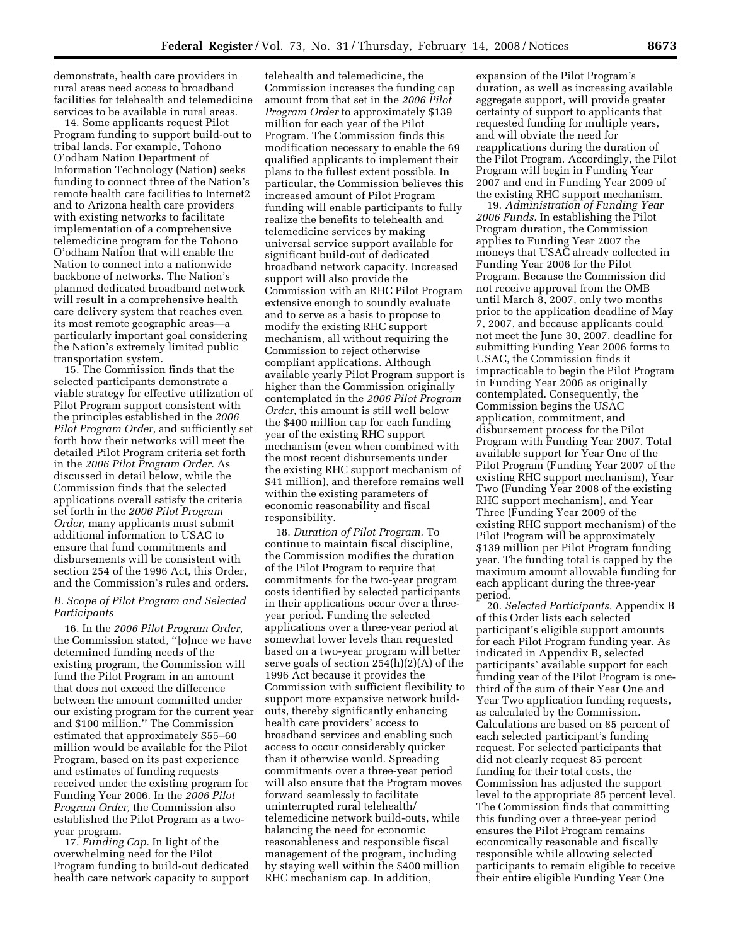demonstrate, health care providers in rural areas need access to broadband facilities for telehealth and telemedicine services to be available in rural areas.

14. Some applicants request Pilot Program funding to support build-out to tribal lands. For example, Tohono O'odham Nation Department of Information Technology (Nation) seeks funding to connect three of the Nation's remote health care facilities to Internet2 and to Arizona health care providers with existing networks to facilitate implementation of a comprehensive telemedicine program for the Tohono O'odham Nation that will enable the Nation to connect into a nationwide backbone of networks. The Nation's planned dedicated broadband network will result in a comprehensive health care delivery system that reaches even its most remote geographic areas—a particularly important goal considering the Nation's extremely limited public transportation system.

15. The Commission finds that the selected participants demonstrate a viable strategy for effective utilization of Pilot Program support consistent with the principles established in the *2006 Pilot Program Order,* and sufficiently set forth how their networks will meet the detailed Pilot Program criteria set forth in the *2006 Pilot Program Order.* As discussed in detail below, while the Commission finds that the selected applications overall satisfy the criteria set forth in the *2006 Pilot Program Order,* many applicants must submit additional information to USAC to ensure that fund commitments and disbursements will be consistent with section 254 of the 1996 Act, this Order, and the Commission's rules and orders.

# *B. Scope of Pilot Program and Selected Participants*

16. In the *2006 Pilot Program Order,*  the Commission stated, ''[o]nce we have determined funding needs of the existing program, the Commission will fund the Pilot Program in an amount that does not exceed the difference between the amount committed under our existing program for the current year and \$100 million.'' The Commission estimated that approximately \$55–60 million would be available for the Pilot Program, based on its past experience and estimates of funding requests received under the existing program for Funding Year 2006. In the *2006 Pilot Program Order,* the Commission also established the Pilot Program as a twoyear program.

17. *Funding Cap.* In light of the overwhelming need for the Pilot Program funding to build-out dedicated health care network capacity to support

telehealth and telemedicine, the Commission increases the funding cap amount from that set in the *2006 Pilot Program Order* to approximately \$139 million for each year of the Pilot Program. The Commission finds this modification necessary to enable the 69 qualified applicants to implement their plans to the fullest extent possible. In particular, the Commission believes this increased amount of Pilot Program funding will enable participants to fully realize the benefits to telehealth and telemedicine services by making universal service support available for significant build-out of dedicated broadband network capacity. Increased support will also provide the Commission with an RHC Pilot Program extensive enough to soundly evaluate and to serve as a basis to propose to modify the existing RHC support mechanism, all without requiring the Commission to reject otherwise compliant applications. Although available yearly Pilot Program support is higher than the Commission originally contemplated in the *2006 Pilot Program Order,* this amount is still well below the \$400 million cap for each funding year of the existing RHC support mechanism (even when combined with the most recent disbursements under the existing RHC support mechanism of \$41 million), and therefore remains well within the existing parameters of economic reasonability and fiscal responsibility.

18. *Duration of Pilot Program.* To continue to maintain fiscal discipline, the Commission modifies the duration of the Pilot Program to require that commitments for the two-year program costs identified by selected participants in their applications occur over a threeyear period. Funding the selected applications over a three-year period at somewhat lower levels than requested based on a two-year program will better serve goals of section 254(h)(2)(A) of the 1996 Act because it provides the Commission with sufficient flexibility to support more expansive network buildouts, thereby significantly enhancing health care providers' access to broadband services and enabling such access to occur considerably quicker than it otherwise would. Spreading commitments over a three-year period will also ensure that the Program moves forward seamlessly to facilitate uninterrupted rural telehealth/ telemedicine network build-outs, while balancing the need for economic reasonableness and responsible fiscal management of the program, including by staying well within the \$400 million RHC mechanism cap. In addition,

expansion of the Pilot Program's duration, as well as increasing available aggregate support, will provide greater certainty of support to applicants that requested funding for multiple years, and will obviate the need for reapplications during the duration of the Pilot Program. Accordingly, the Pilot Program will begin in Funding Year 2007 and end in Funding Year 2009 of the existing RHC support mechanism.

19. *Administration of Funding Year 2006 Funds.* In establishing the Pilot Program duration, the Commission applies to Funding Year 2007 the moneys that USAC already collected in Funding Year 2006 for the Pilot Program. Because the Commission did not receive approval from the OMB until March 8, 2007, only two months prior to the application deadline of May 7, 2007, and because applicants could not meet the June 30, 2007, deadline for submitting Funding Year 2006 forms to USAC, the Commission finds it impracticable to begin the Pilot Program in Funding Year 2006 as originally contemplated. Consequently, the Commission begins the USAC application, commitment, and disbursement process for the Pilot Program with Funding Year 2007. Total available support for Year One of the Pilot Program (Funding Year 2007 of the existing RHC support mechanism), Year Two (Funding Year 2008 of the existing RHC support mechanism), and Year Three (Funding Year 2009 of the existing RHC support mechanism) of the Pilot Program will be approximately \$139 million per Pilot Program funding year. The funding total is capped by the maximum amount allowable funding for each applicant during the three-year period.

20. *Selected Participants.* Appendix B of this Order lists each selected participant's eligible support amounts for each Pilot Program funding year. As indicated in Appendix B, selected participants' available support for each funding year of the Pilot Program is onethird of the sum of their Year One and Year Two application funding requests, as calculated by the Commission. Calculations are based on 85 percent of each selected participant's funding request. For selected participants that did not clearly request 85 percent funding for their total costs, the Commission has adjusted the support level to the appropriate 85 percent level. The Commission finds that committing this funding over a three-year period ensures the Pilot Program remains economically reasonable and fiscally responsible while allowing selected participants to remain eligible to receive their entire eligible Funding Year One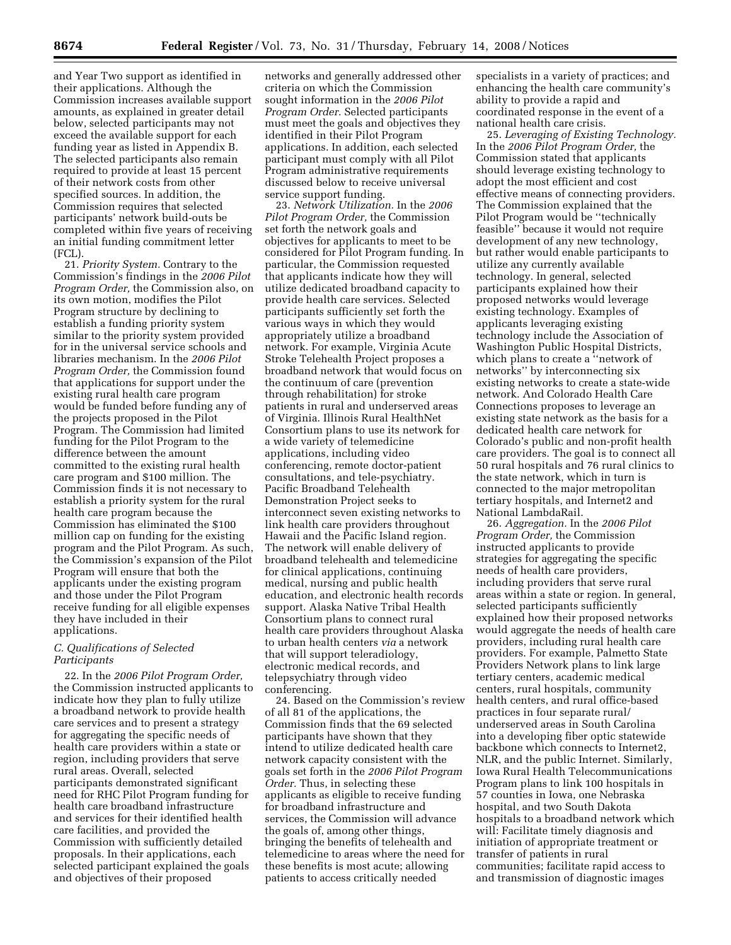and Year Two support as identified in their applications. Although the Commission increases available support amounts, as explained in greater detail below, selected participants may not exceed the available support for each funding year as listed in Appendix B. The selected participants also remain required to provide at least 15 percent of their network costs from other specified sources. In addition, the Commission requires that selected participants' network build-outs be completed within five years of receiving an initial funding commitment letter (FCL).

21. *Priority System.* Contrary to the Commission's findings in the *2006 Pilot Program Order,* the Commission also, on its own motion, modifies the Pilot Program structure by declining to establish a funding priority system similar to the priority system provided for in the universal service schools and libraries mechanism. In the *2006 Pilot Program Order,* the Commission found that applications for support under the existing rural health care program would be funded before funding any of the projects proposed in the Pilot Program. The Commission had limited funding for the Pilot Program to the difference between the amount committed to the existing rural health care program and \$100 million. The Commission finds it is not necessary to establish a priority system for the rural health care program because the Commission has eliminated the \$100 million cap on funding for the existing program and the Pilot Program. As such, the Commission's expansion of the Pilot Program will ensure that both the applicants under the existing program and those under the Pilot Program receive funding for all eligible expenses they have included in their applications.

# *C. Qualifications of Selected Participants*

22. In the *2006 Pilot Program Order,*  the Commission instructed applicants to indicate how they plan to fully utilize a broadband network to provide health care services and to present a strategy for aggregating the specific needs of health care providers within a state or region, including providers that serve rural areas. Overall, selected participants demonstrated significant need for RHC Pilot Program funding for health care broadband infrastructure and services for their identified health care facilities, and provided the Commission with sufficiently detailed proposals. In their applications, each selected participant explained the goals and objectives of their proposed

networks and generally addressed other criteria on which the Commission sought information in the *2006 Pilot Program Order.* Selected participants must meet the goals and objectives they identified in their Pilot Program applications. In addition, each selected participant must comply with all Pilot Program administrative requirements discussed below to receive universal service support funding.

23. *Network Utilization.* In the *2006 Pilot Program Order,* the Commission set forth the network goals and objectives for applicants to meet to be considered for Pilot Program funding. In particular, the Commission requested that applicants indicate how they will utilize dedicated broadband capacity to provide health care services. Selected participants sufficiently set forth the various ways in which they would appropriately utilize a broadband network. For example, Virginia Acute Stroke Telehealth Project proposes a broadband network that would focus on the continuum of care (prevention through rehabilitation) for stroke patients in rural and underserved areas of Virginia. Illinois Rural HealthNet Consortium plans to use its network for a wide variety of telemedicine applications, including video conferencing, remote doctor-patient consultations, and tele-psychiatry. Pacific Broadband Telehealth Demonstration Project seeks to interconnect seven existing networks to link health care providers throughout Hawaii and the Pacific Island region. The network will enable delivery of broadband telehealth and telemedicine for clinical applications, continuing medical, nursing and public health education, and electronic health records support. Alaska Native Tribal Health Consortium plans to connect rural health care providers throughout Alaska to urban health centers *via* a network that will support teleradiology, electronic medical records, and telepsychiatry through video conferencing.

24. Based on the Commission's review of all 81 of the applications, the Commission finds that the 69 selected participants have shown that they intend to utilize dedicated health care network capacity consistent with the goals set forth in the *2006 Pilot Program Order.* Thus, in selecting these applicants as eligible to receive funding for broadband infrastructure and services, the Commission will advance the goals of, among other things, bringing the benefits of telehealth and telemedicine to areas where the need for these benefits is most acute; allowing patients to access critically needed

specialists in a variety of practices; and enhancing the health care community's ability to provide a rapid and coordinated response in the event of a national health care crisis.

25. *Leveraging of Existing Technology.*  In the *2006 Pilot Program Order,* the Commission stated that applicants should leverage existing technology to adopt the most efficient and cost effective means of connecting providers. The Commission explained that the Pilot Program would be ''technically feasible'' because it would not require development of any new technology, but rather would enable participants to utilize any currently available technology. In general, selected participants explained how their proposed networks would leverage existing technology. Examples of applicants leveraging existing technology include the Association of Washington Public Hospital Districts, which plans to create a ''network of networks'' by interconnecting six existing networks to create a state-wide network. And Colorado Health Care Connections proposes to leverage an existing state network as the basis for a dedicated health care network for Colorado's public and non-profit health care providers. The goal is to connect all 50 rural hospitals and 76 rural clinics to the state network, which in turn is connected to the major metropolitan tertiary hospitals, and Internet2 and National LambdaRail.

26. *Aggregation.* In the *2006 Pilot Program Order,* the Commission instructed applicants to provide strategies for aggregating the specific needs of health care providers, including providers that serve rural areas within a state or region. In general, selected participants sufficiently explained how their proposed networks would aggregate the needs of health care providers, including rural health care providers. For example, Palmetto State Providers Network plans to link large tertiary centers, academic medical centers, rural hospitals, community health centers, and rural office-based practices in four separate rural/ underserved areas in South Carolina into a developing fiber optic statewide backbone which connects to Internet2, NLR, and the public Internet. Similarly, Iowa Rural Health Telecommunications Program plans to link 100 hospitals in 57 counties in Iowa, one Nebraska hospital, and two South Dakota hospitals to a broadband network which will: Facilitate timely diagnosis and initiation of appropriate treatment or transfer of patients in rural communities; facilitate rapid access to and transmission of diagnostic images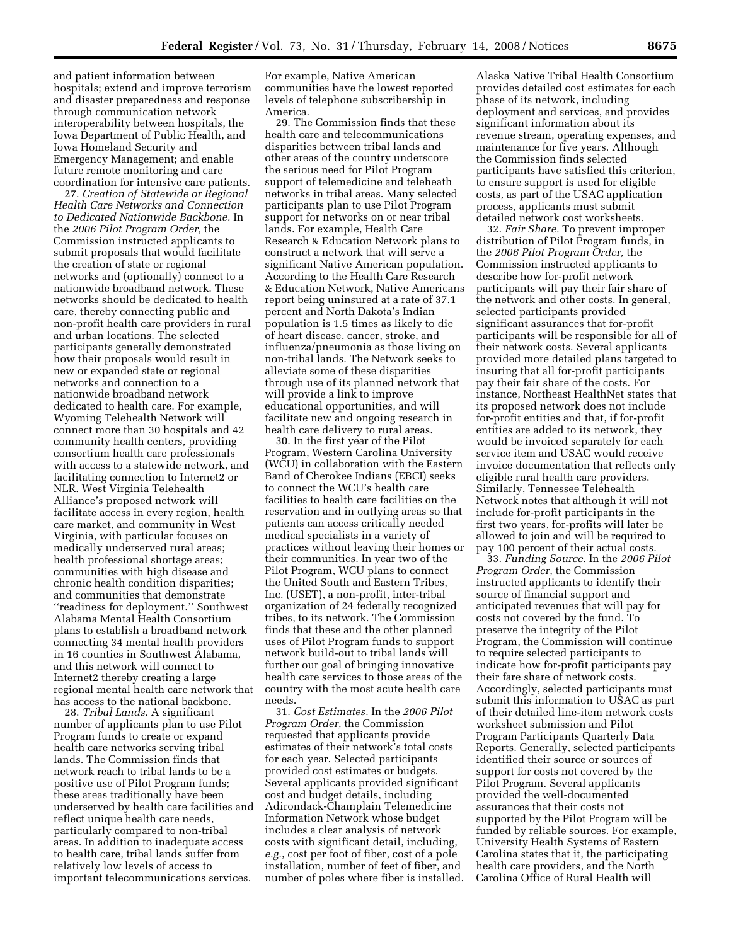and patient information between hospitals; extend and improve terrorism and disaster preparedness and response through communication network interoperability between hospitals, the Iowa Department of Public Health, and Iowa Homeland Security and Emergency Management; and enable future remote monitoring and care coordination for intensive care patients.

27. *Creation of Statewide or Regional Health Care Networks and Connection to Dedicated Nationwide Backbone.* In the *2006 Pilot Program Order,* the Commission instructed applicants to submit proposals that would facilitate the creation of state or regional networks and (optionally) connect to a nationwide broadband network. These networks should be dedicated to health care, thereby connecting public and non-profit health care providers in rural and urban locations. The selected participants generally demonstrated how their proposals would result in new or expanded state or regional networks and connection to a nationwide broadband network dedicated to health care. For example, Wyoming Telehealth Network will connect more than 30 hospitals and 42 community health centers, providing consortium health care professionals with access to a statewide network, and facilitating connection to Internet2 or NLR. West Virginia Telehealth Alliance's proposed network will facilitate access in every region, health care market, and community in West Virginia, with particular focuses on medically underserved rural areas; health professional shortage areas; communities with high disease and chronic health condition disparities; and communities that demonstrate ''readiness for deployment.'' Southwest Alabama Mental Health Consortium plans to establish a broadband network connecting 34 mental health providers in 16 counties in Southwest Alabama, and this network will connect to Internet2 thereby creating a large regional mental health care network that has access to the national backbone.

28. *Tribal Lands.* A significant number of applicants plan to use Pilot Program funds to create or expand health care networks serving tribal lands. The Commission finds that network reach to tribal lands to be a positive use of Pilot Program funds; these areas traditionally have been underserved by health care facilities and reflect unique health care needs, particularly compared to non-tribal areas. In addition to inadequate access to health care, tribal lands suffer from relatively low levels of access to important telecommunications services.

For example, Native American communities have the lowest reported levels of telephone subscribership in America.

29. The Commission finds that these health care and telecommunications disparities between tribal lands and other areas of the country underscore the serious need for Pilot Program support of telemedicine and teleheath networks in tribal areas. Many selected participants plan to use Pilot Program support for networks on or near tribal lands. For example, Health Care Research & Education Network plans to construct a network that will serve a significant Native American population. According to the Health Care Research & Education Network, Native Americans report being uninsured at a rate of 37.1 percent and North Dakota's Indian population is 1.5 times as likely to die of heart disease, cancer, stroke, and influenza/pneumonia as those living on non-tribal lands. The Network seeks to alleviate some of these disparities through use of its planned network that will provide a link to improve educational opportunities, and will facilitate new and ongoing research in health care delivery to rural areas.

30. In the first year of the Pilot Program, Western Carolina University (WCU) in collaboration with the Eastern Band of Cherokee Indians (EBCI) seeks to connect the WCU's health care facilities to health care facilities on the reservation and in outlying areas so that patients can access critically needed medical specialists in a variety of practices without leaving their homes or their communities. In year two of the Pilot Program, WCU plans to connect the United South and Eastern Tribes, Inc. (USET), a non-profit, inter-tribal organization of 24 federally recognized tribes, to its network. The Commission finds that these and the other planned uses of Pilot Program funds to support network build-out to tribal lands will further our goal of bringing innovative health care services to those areas of the country with the most acute health care needs.

31. *Cost Estimates.* In the *2006 Pilot Program Order,* the Commission requested that applicants provide estimates of their network's total costs for each year. Selected participants provided cost estimates or budgets. Several applicants provided significant cost and budget details, including Adirondack-Champlain Telemedicine Information Network whose budget includes a clear analysis of network costs with significant detail, including, *e.g.*, cost per foot of fiber, cost of a pole installation, number of feet of fiber, and number of poles where fiber is installed.

Alaska Native Tribal Health Consortium provides detailed cost estimates for each phase of its network, including deployment and services, and provides significant information about its revenue stream, operating expenses, and maintenance for five years. Although the Commission finds selected participants have satisfied this criterion, to ensure support is used for eligible costs, as part of the USAC application process, applicants must submit detailed network cost worksheets.

32. *Fair Share.* To prevent improper distribution of Pilot Program funds, in the *2006 Pilot Program Order,* the Commission instructed applicants to describe how for-profit network participants will pay their fair share of the network and other costs. In general, selected participants provided significant assurances that for-profit participants will be responsible for all of their network costs. Several applicants provided more detailed plans targeted to insuring that all for-profit participants pay their fair share of the costs. For instance, Northeast HealthNet states that its proposed network does not include for-profit entities and that, if for-profit entities are added to its network, they would be invoiced separately for each service item and USAC would receive invoice documentation that reflects only eligible rural health care providers. Similarly, Tennessee Telehealth Network notes that although it will not include for-profit participants in the first two years, for-profits will later be allowed to join and will be required to pay 100 percent of their actual costs.

33. *Funding Source.* In the *2006 Pilot Program Order,* the Commission instructed applicants to identify their source of financial support and anticipated revenues that will pay for costs not covered by the fund. To preserve the integrity of the Pilot Program, the Commission will continue to require selected participants to indicate how for-profit participants pay their fare share of network costs. Accordingly, selected participants must submit this information to USAC as part of their detailed line-item network costs worksheet submission and Pilot Program Participants Quarterly Data Reports. Generally, selected participants identified their source or sources of support for costs not covered by the Pilot Program. Several applicants provided the well-documented assurances that their costs not supported by the Pilot Program will be funded by reliable sources. For example, University Health Systems of Eastern Carolina states that it, the participating health care providers, and the North Carolina Office of Rural Health will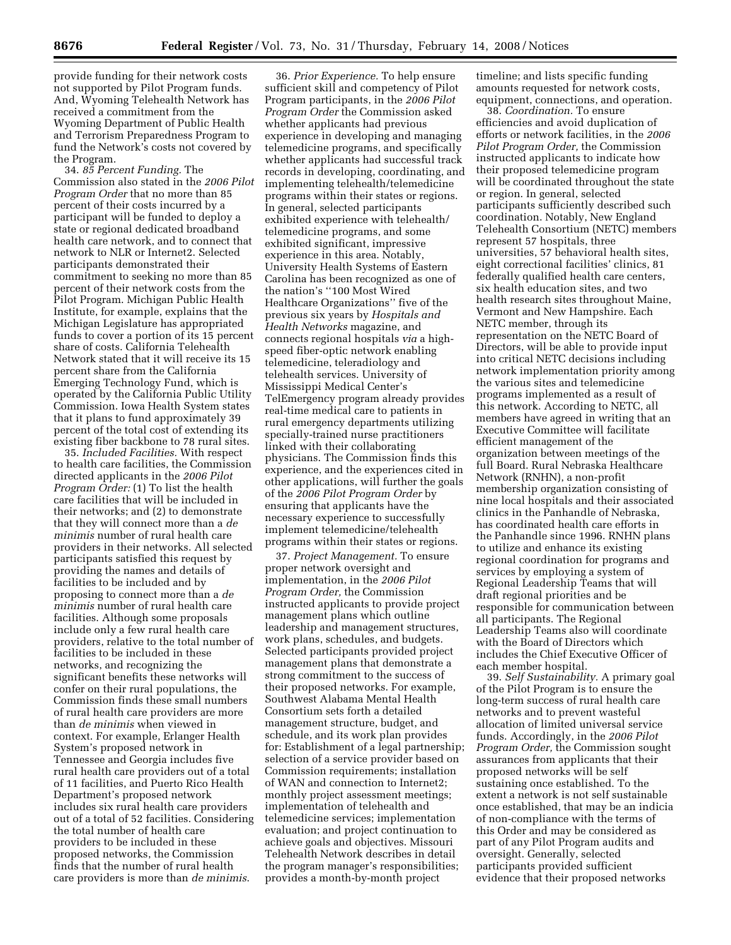provide funding for their network costs not supported by Pilot Program funds. And, Wyoming Telehealth Network has received a commitment from the Wyoming Department of Public Health and Terrorism Preparedness Program to fund the Network's costs not covered by the Program.

34. *85 Percent Funding.* The Commission also stated in the *2006 Pilot Program Order* that no more than 85 percent of their costs incurred by a participant will be funded to deploy a state or regional dedicated broadband health care network, and to connect that network to NLR or Internet2. Selected participants demonstrated their commitment to seeking no more than 85 percent of their network costs from the Pilot Program. Michigan Public Health Institute, for example, explains that the Michigan Legislature has appropriated funds to cover a portion of its 15 percent share of costs. California Telehealth Network stated that it will receive its 15 percent share from the California Emerging Technology Fund, which is operated by the California Public Utility Commission. Iowa Health System states that it plans to fund approximately 39 percent of the total cost of extending its existing fiber backbone to 78 rural sites.

35. *Included Facilities.* With respect to health care facilities, the Commission directed applicants in the *2006 Pilot Program Order:* (1) To list the health care facilities that will be included in their networks; and (2) to demonstrate that they will connect more than a *de minimis* number of rural health care providers in their networks. All selected participants satisfied this request by providing the names and details of facilities to be included and by proposing to connect more than a *de minimis* number of rural health care facilities. Although some proposals include only a few rural health care providers, relative to the total number of facilities to be included in these networks, and recognizing the significant benefits these networks will confer on their rural populations, the Commission finds these small numbers of rural health care providers are more than *de minimis* when viewed in context. For example, Erlanger Health System's proposed network in Tennessee and Georgia includes five rural health care providers out of a total of 11 facilities, and Puerto Rico Health Department's proposed network includes six rural health care providers out of a total of 52 facilities. Considering the total number of health care providers to be included in these proposed networks, the Commission finds that the number of rural health care providers is more than *de minimis*.

36. *Prior Experience.* To help ensure sufficient skill and competency of Pilot Program participants, in the *2006 Pilot Program Order* the Commission asked whether applicants had previous experience in developing and managing telemedicine programs, and specifically whether applicants had successful track records in developing, coordinating, and implementing telehealth/telemedicine programs within their states or regions. In general, selected participants exhibited experience with telehealth/ telemedicine programs, and some exhibited significant, impressive experience in this area. Notably, University Health Systems of Eastern Carolina has been recognized as one of the nation's ''100 Most Wired Healthcare Organizations'' five of the previous six years by *Hospitals and Health Networks* magazine, and connects regional hospitals *via* a highspeed fiber-optic network enabling telemedicine, teleradiology and telehealth services. University of Mississippi Medical Center's TelEmergency program already provides real-time medical care to patients in rural emergency departments utilizing specially-trained nurse practitioners linked with their collaborating physicians. The Commission finds this experience, and the experiences cited in other applications, will further the goals of the *2006 Pilot Program Order* by ensuring that applicants have the necessary experience to successfully implement telemedicine/telehealth programs within their states or regions.

37. *Project Management.* To ensure proper network oversight and implementation, in the *2006 Pilot Program Order,* the Commission instructed applicants to provide project management plans which outline leadership and management structures, work plans, schedules, and budgets. Selected participants provided project management plans that demonstrate a strong commitment to the success of their proposed networks. For example, Southwest Alabama Mental Health Consortium sets forth a detailed management structure, budget, and schedule, and its work plan provides for: Establishment of a legal partnership; selection of a service provider based on Commission requirements; installation of WAN and connection to Internet2; monthly project assessment meetings; implementation of telehealth and telemedicine services; implementation evaluation; and project continuation to achieve goals and objectives. Missouri Telehealth Network describes in detail the program manager's responsibilities; provides a month-by-month project

timeline; and lists specific funding amounts requested for network costs, equipment, connections, and operation.

38. *Coordination.* To ensure efficiencies and avoid duplication of efforts or network facilities, in the *2006 Pilot Program Order,* the Commission instructed applicants to indicate how their proposed telemedicine program will be coordinated throughout the state or region. In general, selected participants sufficiently described such coordination. Notably, New England Telehealth Consortium (NETC) members represent 57 hospitals, three universities, 57 behavioral health sites, eight correctional facilities' clinics, 81 federally qualified health care centers, six health education sites, and two health research sites throughout Maine, Vermont and New Hampshire. Each NETC member, through its representation on the NETC Board of Directors, will be able to provide input into critical NETC decisions including network implementation priority among the various sites and telemedicine programs implemented as a result of this network. According to NETC, all members have agreed in writing that an Executive Committee will facilitate efficient management of the organization between meetings of the full Board. Rural Nebraska Healthcare Network (RNHN), a non-profit membership organization consisting of nine local hospitals and their associated clinics in the Panhandle of Nebraska, has coordinated health care efforts in the Panhandle since 1996. RNHN plans to utilize and enhance its existing regional coordination for programs and services by employing a system of Regional Leadership Teams that will draft regional priorities and be responsible for communication between all participants. The Regional Leadership Teams also will coordinate with the Board of Directors which includes the Chief Executive Officer of each member hospital.

39. *Self Sustainability.* A primary goal of the Pilot Program is to ensure the long-term success of rural health care networks and to prevent wasteful allocation of limited universal service funds. Accordingly, in the *2006 Pilot Program Order,* the Commission sought assurances from applicants that their proposed networks will be self sustaining once established. To the extent a network is not self sustainable once established, that may be an indicia of non-compliance with the terms of this Order and may be considered as part of any Pilot Program audits and oversight. Generally, selected participants provided sufficient evidence that their proposed networks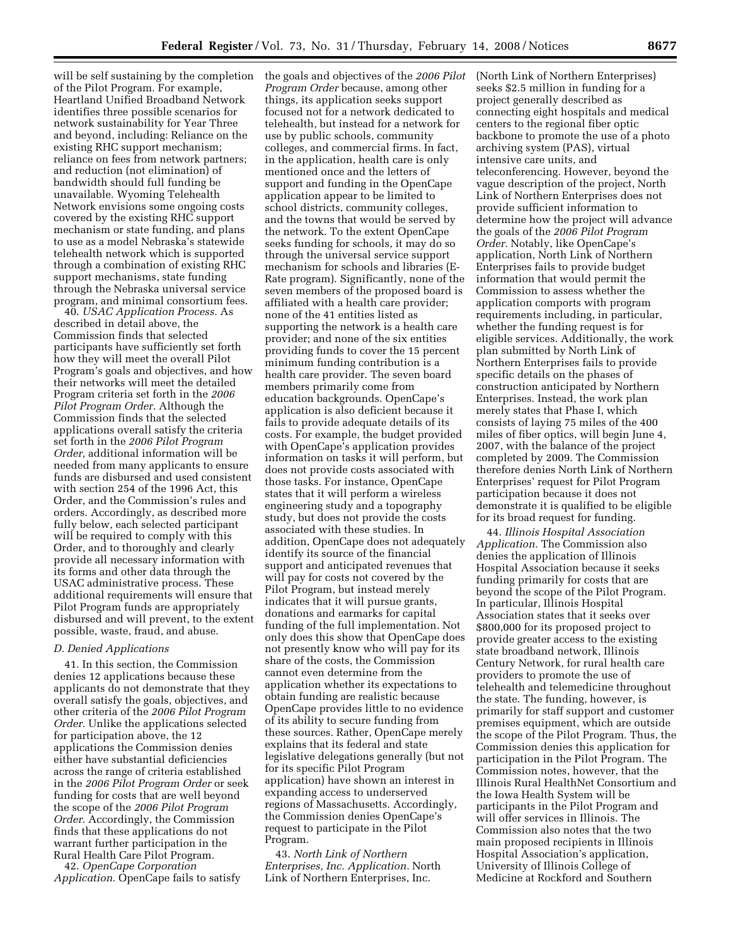will be self sustaining by the completion of the Pilot Program. For example, Heartland Unified Broadband Network identifies three possible scenarios for network sustainability for Year Three and beyond, including: Reliance on the existing RHC support mechanism; reliance on fees from network partners; and reduction (not elimination) of bandwidth should full funding be unavailable. Wyoming Telehealth Network envisions some ongoing costs covered by the existing RHC support mechanism or state funding, and plans to use as a model Nebraska's statewide telehealth network which is supported through a combination of existing RHC support mechanisms, state funding through the Nebraska universal service program, and minimal consortium fees.

40. *USAC Application Process.* As described in detail above, the Commission finds that selected participants have sufficiently set forth how they will meet the overall Pilot Program's goals and objectives, and how their networks will meet the detailed Program criteria set forth in the *2006 Pilot Program Order.* Although the Commission finds that the selected applications overall satisfy the criteria set forth in the *2006 Pilot Program Order,* additional information will be needed from many applicants to ensure funds are disbursed and used consistent with section 254 of the 1996 Act, this Order, and the Commission's rules and orders. Accordingly, as described more fully below, each selected participant will be required to comply with this Order, and to thoroughly and clearly provide all necessary information with its forms and other data through the USAC administrative process. These additional requirements will ensure that Pilot Program funds are appropriately disbursed and will prevent, to the extent possible, waste, fraud, and abuse.

## *D. Denied Applications*

41. In this section, the Commission denies 12 applications because these applicants do not demonstrate that they overall satisfy the goals, objectives, and other criteria of the *2006 Pilot Program Order.* Unlike the applications selected for participation above, the 12 applications the Commission denies either have substantial deficiencies across the range of criteria established in the *2006 Pilot Program Order* or seek funding for costs that are well beyond the scope of the *2006 Pilot Program Order.* Accordingly, the Commission finds that these applications do not warrant further participation in the Rural Health Care Pilot Program.

42. *OpenCape Corporation Application.* OpenCape fails to satisfy the goals and objectives of the *2006 Pilot Program Order* because, among other things, its application seeks support focused not for a network dedicated to telehealth, but instead for a network for use by public schools, community colleges, and commercial firms. In fact, in the application, health care is only mentioned once and the letters of support and funding in the OpenCape application appear to be limited to school districts, community colleges, and the towns that would be served by the network. To the extent OpenCape seeks funding for schools, it may do so through the universal service support mechanism for schools and libraries (E-Rate program). Significantly, none of the seven members of the proposed board is affiliated with a health care provider; none of the 41 entities listed as supporting the network is a health care provider; and none of the six entities providing funds to cover the 15 percent minimum funding contribution is a health care provider. The seven board members primarily come from education backgrounds. OpenCape's application is also deficient because it fails to provide adequate details of its costs. For example, the budget provided with OpenCape's application provides information on tasks it will perform, but does not provide costs associated with those tasks. For instance, OpenCape states that it will perform a wireless engineering study and a topography study, but does not provide the costs associated with these studies. In addition, OpenCape does not adequately identify its source of the financial support and anticipated revenues that will pay for costs not covered by the Pilot Program, but instead merely indicates that it will pursue grants, donations and earmarks for capital funding of the full implementation. Not only does this show that OpenCape does not presently know who will pay for its share of the costs, the Commission cannot even determine from the application whether its expectations to obtain funding are realistic because OpenCape provides little to no evidence of its ability to secure funding from these sources. Rather, OpenCape merely explains that its federal and state legislative delegations generally (but not for its specific Pilot Program application) have shown an interest in expanding access to underserved regions of Massachusetts. Accordingly, the Commission denies OpenCape's request to participate in the Pilot Program.

43. *North Link of Northern Enterprises, Inc. Application.* North Link of Northern Enterprises, Inc.

(North Link of Northern Enterprises) seeks \$2.5 million in funding for a project generally described as connecting eight hospitals and medical centers to the regional fiber optic backbone to promote the use of a photo archiving system (PAS), virtual intensive care units, and teleconferencing. However, beyond the vague description of the project, North Link of Northern Enterprises does not provide sufficient information to determine how the project will advance the goals of the *2006 Pilot Program Order.* Notably, like OpenCape's application, North Link of Northern Enterprises fails to provide budget information that would permit the Commission to assess whether the application comports with program requirements including, in particular, whether the funding request is for eligible services. Additionally, the work plan submitted by North Link of Northern Enterprises fails to provide specific details on the phases of construction anticipated by Northern Enterprises. Instead, the work plan merely states that Phase I, which consists of laying 75 miles of the 400 miles of fiber optics, will begin June 4, 2007, with the balance of the project completed by 2009. The Commission therefore denies North Link of Northern Enterprises' request for Pilot Program participation because it does not demonstrate it is qualified to be eligible for its broad request for funding.

44. *Illinois Hospital Association Application.* The Commission also denies the application of Illinois Hospital Association because it seeks funding primarily for costs that are beyond the scope of the Pilot Program. In particular, Illinois Hospital Association states that it seeks over \$800,000 for its proposed project to provide greater access to the existing state broadband network, Illinois Century Network, for rural health care providers to promote the use of telehealth and telemedicine throughout the state. The funding, however, is primarily for staff support and customer premises equipment, which are outside the scope of the Pilot Program. Thus, the Commission denies this application for participation in the Pilot Program. The Commission notes, however, that the Illinois Rural HealthNet Consortium and the Iowa Health System will be participants in the Pilot Program and will offer services in Illinois. The Commission also notes that the two main proposed recipients in Illinois Hospital Association's application, University of Illinois College of Medicine at Rockford and Southern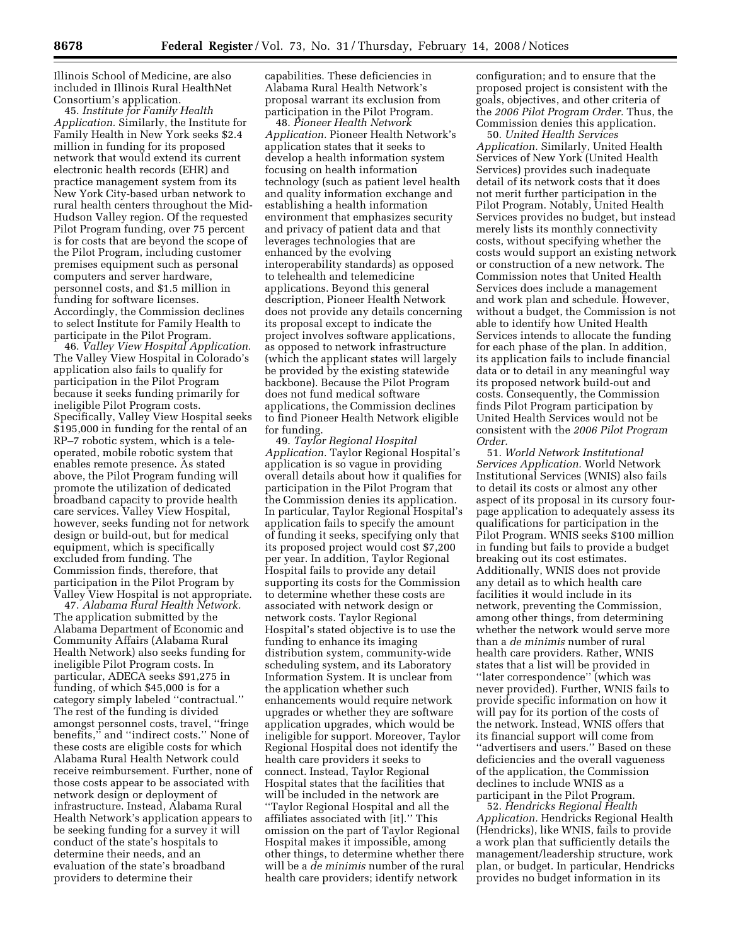Illinois School of Medicine, are also included in Illinois Rural HealthNet Consortium's application.

45. *Institute for Family Health Application.* Similarly, the Institute for Family Health in New York seeks \$2.4 million in funding for its proposed network that would extend its current electronic health records (EHR) and practice management system from its New York City-based urban network to rural health centers throughout the Mid-Hudson Valley region. Of the requested Pilot Program funding, over 75 percent is for costs that are beyond the scope of the Pilot Program, including customer premises equipment such as personal computers and server hardware, personnel costs, and \$1.5 million in funding for software licenses. Accordingly, the Commission declines to select Institute for Family Health to participate in the Pilot Program.

46. *Valley View Hospital Application.*  The Valley View Hospital in Colorado's application also fails to qualify for participation in the Pilot Program because it seeks funding primarily for ineligible Pilot Program costs. Specifically, Valley View Hospital seeks \$195,000 in funding for the rental of an RP–7 robotic system, which is a teleoperated, mobile robotic system that enables remote presence. As stated above, the Pilot Program funding will promote the utilization of dedicated broadband capacity to provide health care services. Valley View Hospital, however, seeks funding not for network design or build-out, but for medical equipment, which is specifically excluded from funding. The Commission finds, therefore, that participation in the Pilot Program by Valley View Hospital is not appropriate.

47. *Alabama Rural Health Network.*  The application submitted by the Alabama Department of Economic and Community Affairs (Alabama Rural Health Network) also seeks funding for ineligible Pilot Program costs. In particular, ADECA seeks \$91,275 in funding, of which \$45,000 is for a category simply labeled ''contractual.'' The rest of the funding is divided amongst personnel costs, travel, ''fringe benefits,'' and ''indirect costs.'' None of these costs are eligible costs for which Alabama Rural Health Network could receive reimbursement. Further, none of those costs appear to be associated with network design or deployment of infrastructure. Instead, Alabama Rural Health Network's application appears to be seeking funding for a survey it will conduct of the state's hospitals to determine their needs, and an evaluation of the state's broadband providers to determine their

capabilities. These deficiencies in Alabama Rural Health Network's proposal warrant its exclusion from participation in the Pilot Program.

48. *Pioneer Health Network Application.* Pioneer Health Network's application states that it seeks to develop a health information system focusing on health information technology (such as patient level health and quality information exchange and establishing a health information environment that emphasizes security and privacy of patient data and that leverages technologies that are enhanced by the evolving interoperability standards) as opposed to telehealth and telemedicine applications. Beyond this general description, Pioneer Health Network does not provide any details concerning its proposal except to indicate the project involves software applications, as opposed to network infrastructure (which the applicant states will largely be provided by the existing statewide backbone). Because the Pilot Program does not fund medical software applications, the Commission declines to find Pioneer Health Network eligible for funding.

49. *Taylor Regional Hospital Application.* Taylor Regional Hospital's application is so vague in providing overall details about how it qualifies for participation in the Pilot Program that the Commission denies its application. In particular, Taylor Regional Hospital's application fails to specify the amount of funding it seeks, specifying only that its proposed project would cost \$7,200 per year. In addition, Taylor Regional Hospital fails to provide any detail supporting its costs for the Commission to determine whether these costs are associated with network design or network costs. Taylor Regional Hospital's stated objective is to use the funding to enhance its imaging distribution system, community-wide scheduling system, and its Laboratory Information System. It is unclear from the application whether such enhancements would require network upgrades or whether they are software application upgrades, which would be ineligible for support. Moreover, Taylor Regional Hospital does not identify the health care providers it seeks to connect. Instead, Taylor Regional Hospital states that the facilities that will be included in the network are ''Taylor Regional Hospital and all the affiliates associated with [it].'' This omission on the part of Taylor Regional Hospital makes it impossible, among other things, to determine whether there will be a *de minimis* number of the rural health care providers; identify network

configuration; and to ensure that the proposed project is consistent with the goals, objectives, and other criteria of the *2006 Pilot Program Order.* Thus, the Commission denies this application.

50. *United Health Services Application.* Similarly, United Health Services of New York (United Health Services) provides such inadequate detail of its network costs that it does not merit further participation in the Pilot Program. Notably, United Health Services provides no budget, but instead merely lists its monthly connectivity costs, without specifying whether the costs would support an existing network or construction of a new network. The Commission notes that United Health Services does include a management and work plan and schedule. However, without a budget, the Commission is not able to identify how United Health Services intends to allocate the funding for each phase of the plan. In addition, its application fails to include financial data or to detail in any meaningful way its proposed network build-out and costs. Consequently, the Commission finds Pilot Program participation by United Health Services would not be consistent with the *2006 Pilot Program Order.* 

51. *World Network Institutional Services Application.* World Network Institutional Services (WNIS) also fails to detail its costs or almost any other aspect of its proposal in its cursory fourpage application to adequately assess its qualifications for participation in the Pilot Program. WNIS seeks \$100 million in funding but fails to provide a budget breaking out its cost estimates. Additionally, WNIS does not provide any detail as to which health care facilities it would include in its network, preventing the Commission, among other things, from determining whether the network would serve more than a *de minimis* number of rural health care providers. Rather, WNIS states that a list will be provided in ''later correspondence'' (which was never provided). Further, WNIS fails to provide specific information on how it will pay for its portion of the costs of the network. Instead, WNIS offers that its financial support will come from ''advertisers and users.'' Based on these deficiencies and the overall vagueness of the application, the Commission declines to include WNIS as a participant in the Pilot Program.

52. *Hendricks Regional Health Application.* Hendricks Regional Health (Hendricks), like WNIS, fails to provide a work plan that sufficiently details the management/leadership structure, work plan, or budget. In particular, Hendricks provides no budget information in its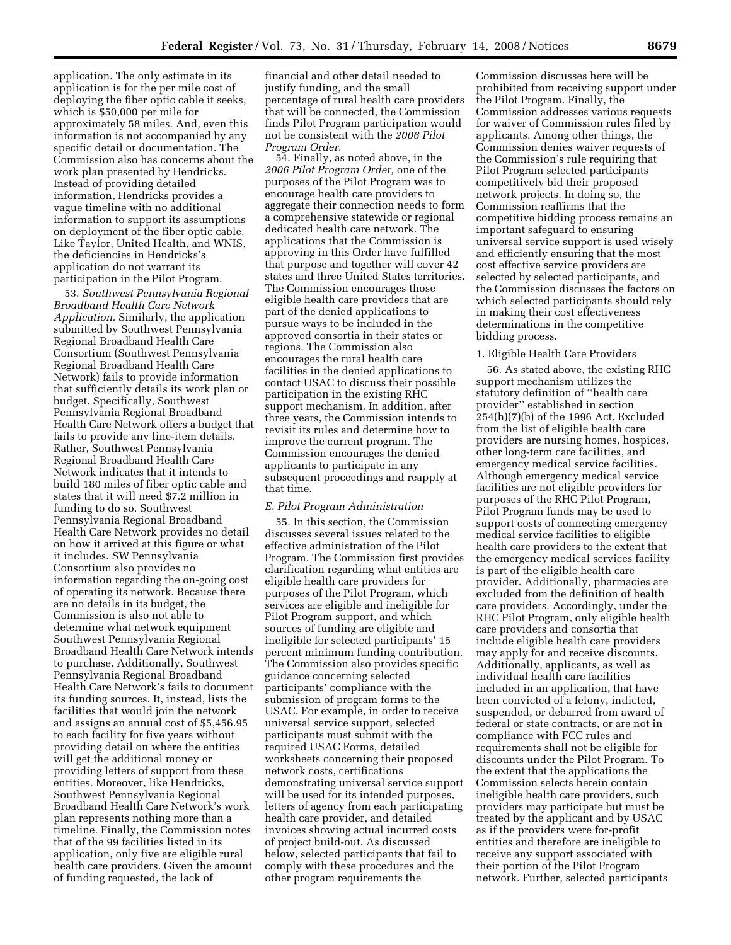application. The only estimate in its application is for the per mile cost of deploying the fiber optic cable it seeks, which is \$50,000 per mile for approximately 58 miles. And, even this information is not accompanied by any specific detail or documentation. The Commission also has concerns about the work plan presented by Hendricks. Instead of providing detailed information, Hendricks provides a vague timeline with no additional information to support its assumptions on deployment of the fiber optic cable. Like Taylor, United Health, and WNIS, the deficiencies in Hendricks's application do not warrant its participation in the Pilot Program.

53. *Southwest Pennsylvania Regional Broadband Health Care Network Application.* Similarly, the application submitted by Southwest Pennsylvania Regional Broadband Health Care Consortium (Southwest Pennsylvania Regional Broadband Health Care Network) fails to provide information that sufficiently details its work plan or budget. Specifically, Southwest Pennsylvania Regional Broadband Health Care Network offers a budget that fails to provide any line-item details. Rather, Southwest Pennsylvania Regional Broadband Health Care Network indicates that it intends to build 180 miles of fiber optic cable and states that it will need \$7.2 million in funding to do so. Southwest Pennsylvania Regional Broadband Health Care Network provides no detail on how it arrived at this figure or what it includes. SW Pennsylvania Consortium also provides no information regarding the on-going cost of operating its network. Because there are no details in its budget, the Commission is also not able to determine what network equipment Southwest Pennsylvania Regional Broadband Health Care Network intends to purchase. Additionally, Southwest Pennsylvania Regional Broadband Health Care Network's fails to document its funding sources. It, instead, lists the facilities that would join the network and assigns an annual cost of \$5,456.95 to each facility for five years without providing detail on where the entities will get the additional money or providing letters of support from these entities. Moreover, like Hendricks, Southwest Pennsylvania Regional Broadband Health Care Network's work plan represents nothing more than a timeline. Finally, the Commission notes that of the 99 facilities listed in its application, only five are eligible rural health care providers. Given the amount of funding requested, the lack of

financial and other detail needed to justify funding, and the small percentage of rural health care providers that will be connected, the Commission finds Pilot Program participation would not be consistent with the *2006 Pilot Program Order.* 

54. Finally, as noted above, in the *2006 Pilot Program Order,* one of the purposes of the Pilot Program was to encourage health care providers to aggregate their connection needs to form a comprehensive statewide or regional dedicated health care network. The applications that the Commission is approving in this Order have fulfilled that purpose and together will cover 42 states and three United States territories. The Commission encourages those eligible health care providers that are part of the denied applications to pursue ways to be included in the approved consortia in their states or regions. The Commission also encourages the rural health care facilities in the denied applications to contact USAC to discuss their possible participation in the existing RHC support mechanism. In addition, after three years, the Commission intends to revisit its rules and determine how to improve the current program. The Commission encourages the denied applicants to participate in any subsequent proceedings and reapply at that time.

## *E. Pilot Program Administration*

55. In this section, the Commission discusses several issues related to the effective administration of the Pilot Program. The Commission first provides clarification regarding what entities are eligible health care providers for purposes of the Pilot Program, which services are eligible and ineligible for Pilot Program support, and which sources of funding are eligible and ineligible for selected participants' 15 percent minimum funding contribution. The Commission also provides specific guidance concerning selected participants' compliance with the submission of program forms to the USAC. For example, in order to receive universal service support, selected participants must submit with the required USAC Forms, detailed worksheets concerning their proposed network costs, certifications demonstrating universal service support will be used for its intended purposes, letters of agency from each participating health care provider, and detailed invoices showing actual incurred costs of project build-out. As discussed below, selected participants that fail to comply with these procedures and the other program requirements the

Commission discusses here will be prohibited from receiving support under the Pilot Program. Finally, the Commission addresses various requests for waiver of Commission rules filed by applicants. Among other things, the Commission denies waiver requests of the Commission's rule requiring that Pilot Program selected participants competitively bid their proposed network projects. In doing so, the Commission reaffirms that the competitive bidding process remains an important safeguard to ensuring universal service support is used wisely and efficiently ensuring that the most cost effective service providers are selected by selected participants, and the Commission discusses the factors on which selected participants should rely in making their cost effectiveness determinations in the competitive bidding process.

#### 1. Eligible Health Care Providers

56. As stated above, the existing RHC support mechanism utilizes the statutory definition of ''health care provider'' established in section 254(h)(7)(b) of the 1996 Act. Excluded from the list of eligible health care providers are nursing homes, hospices, other long-term care facilities, and emergency medical service facilities. Although emergency medical service facilities are not eligible providers for purposes of the RHC Pilot Program, Pilot Program funds may be used to support costs of connecting emergency medical service facilities to eligible health care providers to the extent that the emergency medical services facility is part of the eligible health care provider. Additionally, pharmacies are excluded from the definition of health care providers. Accordingly, under the RHC Pilot Program, only eligible health care providers and consortia that include eligible health care providers may apply for and receive discounts. Additionally, applicants, as well as individual health care facilities included in an application, that have been convicted of a felony, indicted, suspended, or debarred from award of federal or state contracts, or are not in compliance with FCC rules and requirements shall not be eligible for discounts under the Pilot Program. To the extent that the applications the Commission selects herein contain ineligible health care providers, such providers may participate but must be treated by the applicant and by USAC as if the providers were for-profit entities and therefore are ineligible to receive any support associated with their portion of the Pilot Program network. Further, selected participants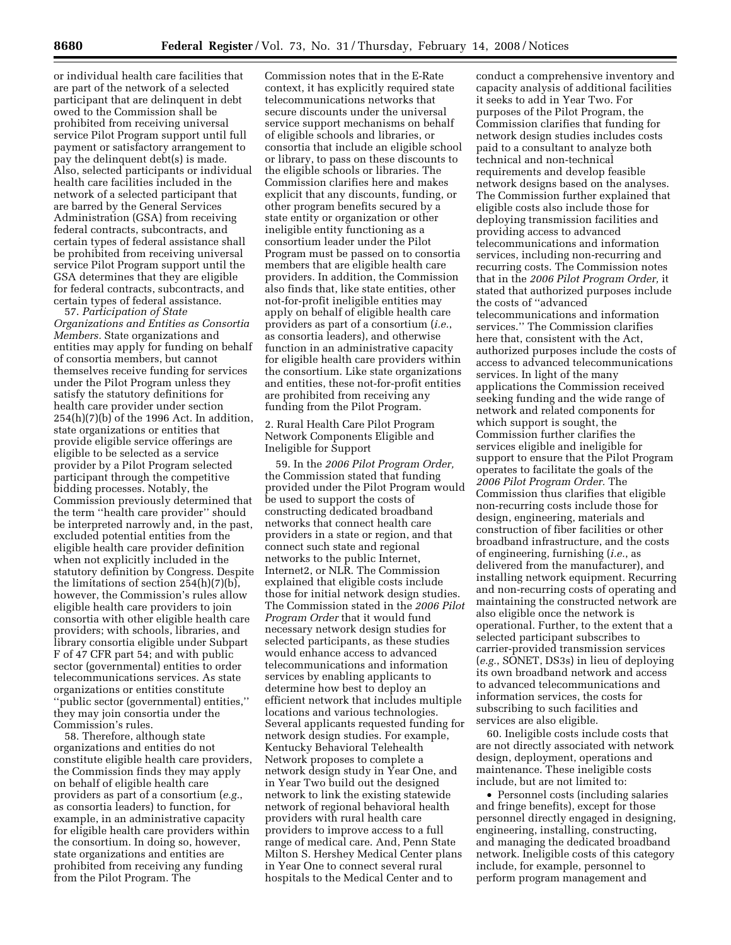or individual health care facilities that are part of the network of a selected participant that are delinquent in debt owed to the Commission shall be prohibited from receiving universal service Pilot Program support until full payment or satisfactory arrangement to pay the delinquent debt(s) is made. Also, selected participants or individual health care facilities included in the network of a selected participant that are barred by the General Services Administration (GSA) from receiving federal contracts, subcontracts, and certain types of federal assistance shall be prohibited from receiving universal service Pilot Program support until the GSA determines that they are eligible for federal contracts, subcontracts, and certain types of federal assistance.

57. *Participation of State Organizations and Entities as Consortia Members.* State organizations and entities may apply for funding on behalf of consortia members, but cannot themselves receive funding for services under the Pilot Program unless they satisfy the statutory definitions for health care provider under section  $254(h)(7)(b)$  of the 1996 Act. In addition, state organizations or entities that provide eligible service offerings are eligible to be selected as a service provider by a Pilot Program selected participant through the competitive bidding processes. Notably, the Commission previously determined that the term ''health care provider'' should be interpreted narrowly and, in the past, excluded potential entities from the eligible health care provider definition when not explicitly included in the statutory definition by Congress. Despite the limitations of section 254(h)(7)(b), however, the Commission's rules allow eligible health care providers to join consortia with other eligible health care providers; with schools, libraries, and library consortia eligible under Subpart F of 47 CFR part 54; and with public sector (governmental) entities to order telecommunications services. As state organizations or entities constitute ''public sector (governmental) entities,'' they may join consortia under the Commission's rules.

58. Therefore, although state organizations and entities do not constitute eligible health care providers, the Commission finds they may apply on behalf of eligible health care providers as part of a consortium (*e.g.*, as consortia leaders) to function, for example, in an administrative capacity for eligible health care providers within the consortium. In doing so, however, state organizations and entities are prohibited from receiving any funding from the Pilot Program. The

Commission notes that in the E-Rate context, it has explicitly required state telecommunications networks that secure discounts under the universal service support mechanisms on behalf of eligible schools and libraries, or consortia that include an eligible school or library, to pass on these discounts to the eligible schools or libraries. The Commission clarifies here and makes explicit that any discounts, funding, or other program benefits secured by a state entity or organization or other ineligible entity functioning as a consortium leader under the Pilot Program must be passed on to consortia members that are eligible health care providers. In addition, the Commission also finds that, like state entities, other not-for-profit ineligible entities may apply on behalf of eligible health care providers as part of a consortium (*i.e.*, as consortia leaders), and otherwise function in an administrative capacity for eligible health care providers within the consortium. Like state organizations and entities, these not-for-profit entities are prohibited from receiving any funding from the Pilot Program.

# 2. Rural Health Care Pilot Program Network Components Eligible and Ineligible for Support

59. In the *2006 Pilot Program Order,*  the Commission stated that funding provided under the Pilot Program would be used to support the costs of constructing dedicated broadband networks that connect health care providers in a state or region, and that connect such state and regional networks to the public Internet, Internet2, or NLR. The Commission explained that eligible costs include those for initial network design studies. The Commission stated in the *2006 Pilot Program Order* that it would fund necessary network design studies for selected participants, as these studies would enhance access to advanced telecommunications and information services by enabling applicants to determine how best to deploy an efficient network that includes multiple locations and various technologies. Several applicants requested funding for network design studies. For example, Kentucky Behavioral Telehealth Network proposes to complete a network design study in Year One, and in Year Two build out the designed network to link the existing statewide network of regional behavioral health providers with rural health care providers to improve access to a full range of medical care. And, Penn State Milton S. Hershey Medical Center plans in Year One to connect several rural hospitals to the Medical Center and to

conduct a comprehensive inventory and capacity analysis of additional facilities it seeks to add in Year Two. For purposes of the Pilot Program, the Commission clarifies that funding for network design studies includes costs paid to a consultant to analyze both technical and non-technical requirements and develop feasible network designs based on the analyses. The Commission further explained that eligible costs also include those for deploying transmission facilities and providing access to advanced telecommunications and information services, including non-recurring and recurring costs. The Commission notes that in the *2006 Pilot Program Order,* it stated that authorized purposes include the costs of ''advanced telecommunications and information services.'' The Commission clarifies here that, consistent with the Act, authorized purposes include the costs of access to advanced telecommunications services. In light of the many applications the Commission received seeking funding and the wide range of network and related components for which support is sought, the Commission further clarifies the services eligible and ineligible for support to ensure that the Pilot Program operates to facilitate the goals of the *2006 Pilot Program Order.* The Commission thus clarifies that eligible non-recurring costs include those for design, engineering, materials and construction of fiber facilities or other broadband infrastructure, and the costs of engineering, furnishing (*i.e.*, as delivered from the manufacturer), and installing network equipment. Recurring and non-recurring costs of operating and maintaining the constructed network are also eligible once the network is operational. Further, to the extent that a selected participant subscribes to carrier-provided transmission services (*e.g.*, SONET, DS3s) in lieu of deploying its own broadband network and access to advanced telecommunications and information services, the costs for subscribing to such facilities and services are also eligible.

60. Ineligible costs include costs that are not directly associated with network design, deployment, operations and maintenance. These ineligible costs include, but are not limited to:

• Personnel costs (including salaries and fringe benefits), except for those personnel directly engaged in designing, engineering, installing, constructing, and managing the dedicated broadband network. Ineligible costs of this category include, for example, personnel to perform program management and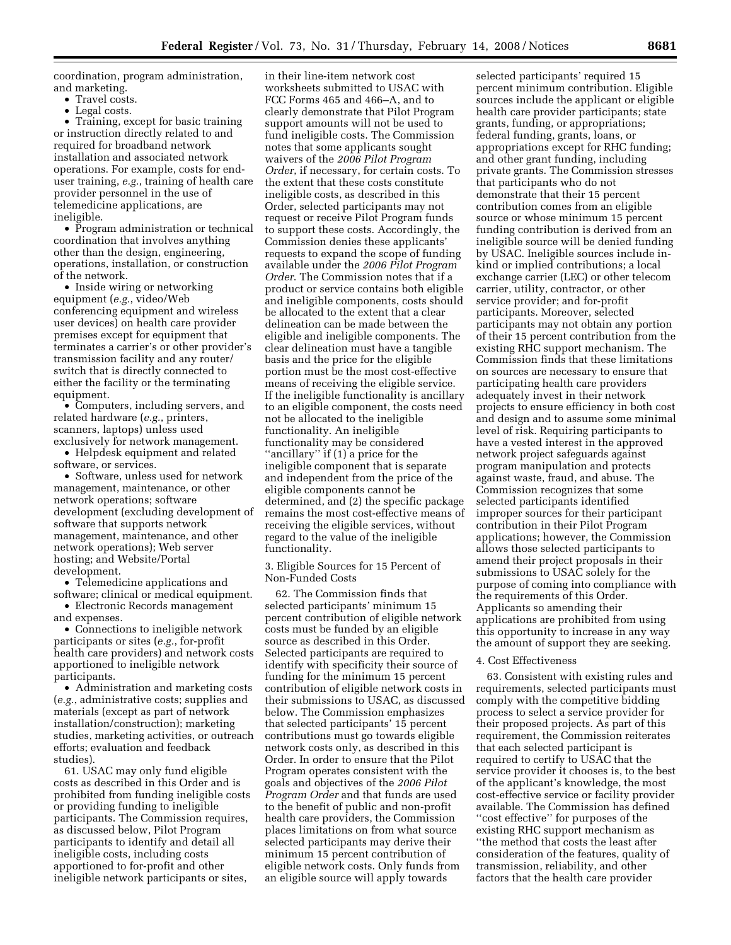coordination, program administration, and marketing.

- Travel costs.
- Legal costs.

• Training, except for basic training or instruction directly related to and required for broadband network installation and associated network operations. For example, costs for enduser training, *e.g.*, training of health care provider personnel in the use of telemedicine applications, are ineligible.

• Program administration or technical coordination that involves anything other than the design, engineering, operations, installation, or construction of the network.

• Inside wiring or networking equipment (*e.g.*, video/Web conferencing equipment and wireless user devices) on health care provider premises except for equipment that terminates a carrier's or other provider's transmission facility and any router/ switch that is directly connected to either the facility or the terminating equipment.

• Computers, including servers, and related hardware (*e.g.*, printers, scanners, laptops) unless used exclusively for network management.

• Helpdesk equipment and related software, or services.

• Software, unless used for network management, maintenance, or other network operations; software development (excluding development of software that supports network management, maintenance, and other network operations); Web server hosting; and Website/Portal development.

• Telemedicine applications and software; clinical or medical equipment.

• Electronic Records management and expenses.

• Connections to ineligible network participants or sites (*e.g.*, for-profit health care providers) and network costs apportioned to ineligible network participants.

• Administration and marketing costs (*e.g.*, administrative costs; supplies and materials (except as part of network installation/construction); marketing studies, marketing activities, or outreach efforts; evaluation and feedback studies).

61. USAC may only fund eligible costs as described in this Order and is prohibited from funding ineligible costs or providing funding to ineligible participants. The Commission requires, as discussed below, Pilot Program participants to identify and detail all ineligible costs, including costs apportioned to for-profit and other ineligible network participants or sites,

in their line-item network cost worksheets submitted to USAC with FCC Forms 465 and 466–A, and to clearly demonstrate that Pilot Program support amounts will not be used to fund ineligible costs. The Commission notes that some applicants sought waivers of the *2006 Pilot Program Order*, if necessary, for certain costs. To the extent that these costs constitute ineligible costs, as described in this Order, selected participants may not request or receive Pilot Program funds to support these costs. Accordingly, the Commission denies these applicants' requests to expand the scope of funding available under the *2006 Pilot Program Order*. The Commission notes that if a product or service contains both eligible and ineligible components, costs should be allocated to the extent that a clear delineation can be made between the eligible and ineligible components. The clear delineation must have a tangible basis and the price for the eligible portion must be the most cost-effective means of receiving the eligible service. If the ineligible functionality is ancillary to an eligible component, the costs need not be allocated to the ineligible functionality. An ineligible functionality may be considered ''ancillary'' if (1) a price for the ineligible component that is separate and independent from the price of the eligible components cannot be determined, and (2) the specific package remains the most cost-effective means of receiving the eligible services, without regard to the value of the ineligible functionality.

3. Eligible Sources for 15 Percent of Non-Funded Costs

62. The Commission finds that selected participants' minimum 15 percent contribution of eligible network costs must be funded by an eligible source as described in this Order. Selected participants are required to identify with specificity their source of funding for the minimum 15 percent contribution of eligible network costs in their submissions to USAC, as discussed below. The Commission emphasizes that selected participants' 15 percent contributions must go towards eligible network costs only, as described in this Order. In order to ensure that the Pilot Program operates consistent with the goals and objectives of the *2006 Pilot Program Order* and that funds are used to the benefit of public and non-profit health care providers, the Commission places limitations on from what source selected participants may derive their minimum 15 percent contribution of eligible network costs. Only funds from an eligible source will apply towards

selected participants' required 15 percent minimum contribution. Eligible sources include the applicant or eligible health care provider participants; state grants, funding, or appropriations; federal funding, grants, loans, or appropriations except for RHC funding; and other grant funding, including private grants. The Commission stresses that participants who do not demonstrate that their 15 percent contribution comes from an eligible source or whose minimum 15 percent funding contribution is derived from an ineligible source will be denied funding by USAC. Ineligible sources include inkind or implied contributions; a local exchange carrier (LEC) or other telecom carrier, utility, contractor, or other service provider; and for-profit participants. Moreover, selected participants may not obtain any portion of their 15 percent contribution from the existing RHC support mechanism. The Commission finds that these limitations on sources are necessary to ensure that participating health care providers adequately invest in their network projects to ensure efficiency in both cost and design and to assume some minimal level of risk. Requiring participants to have a vested interest in the approved network project safeguards against program manipulation and protects against waste, fraud, and abuse. The Commission recognizes that some selected participants identified improper sources for their participant contribution in their Pilot Program applications; however, the Commission allows those selected participants to amend their project proposals in their submissions to USAC solely for the purpose of coming into compliance with the requirements of this Order. Applicants so amending their applications are prohibited from using this opportunity to increase in any way the amount of support they are seeking.

## 4. Cost Effectiveness

63. Consistent with existing rules and requirements, selected participants must comply with the competitive bidding process to select a service provider for their proposed projects. As part of this requirement, the Commission reiterates that each selected participant is required to certify to USAC that the service provider it chooses is, to the best of the applicant's knowledge, the most cost-effective service or facility provider available. The Commission has defined ''cost effective'' for purposes of the existing RHC support mechanism as ''the method that costs the least after consideration of the features, quality of transmission, reliability, and other factors that the health care provider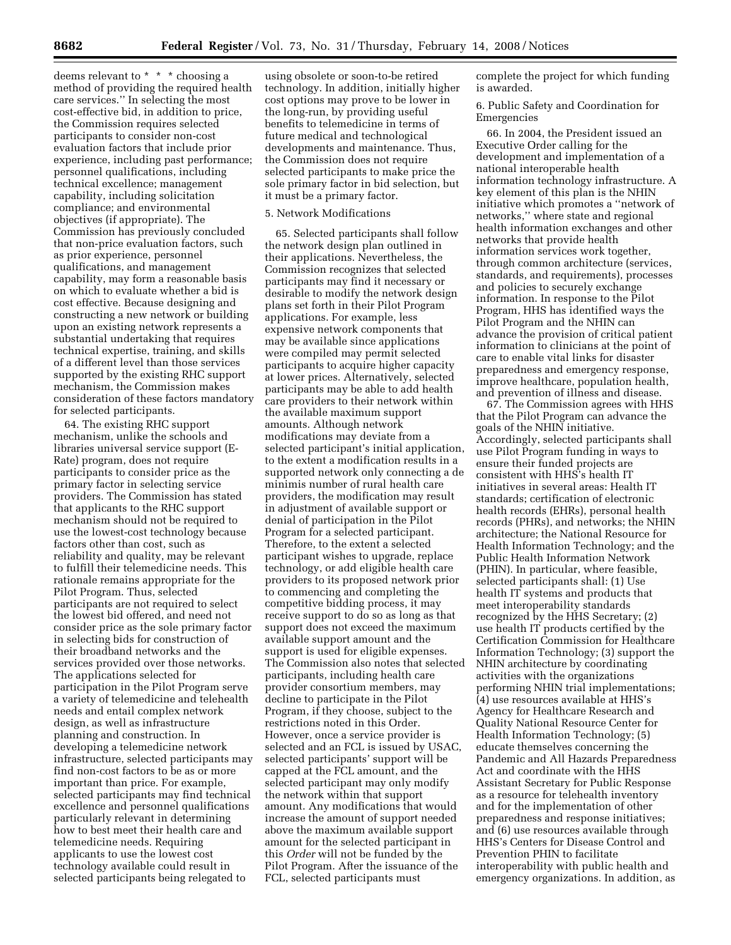deems relevant to \* \* \* choosing a method of providing the required health care services.'' In selecting the most cost-effective bid, in addition to price, the Commission requires selected participants to consider non-cost evaluation factors that include prior experience, including past performance; personnel qualifications, including technical excellence; management capability, including solicitation compliance; and environmental objectives (if appropriate). The Commission has previously concluded that non-price evaluation factors, such as prior experience, personnel qualifications, and management capability, may form a reasonable basis on which to evaluate whether a bid is cost effective. Because designing and constructing a new network or building upon an existing network represents a substantial undertaking that requires technical expertise, training, and skills of a different level than those services supported by the existing RHC support mechanism, the Commission makes consideration of these factors mandatory for selected participants.

64. The existing RHC support mechanism, unlike the schools and libraries universal service support (E-Rate) program, does not require participants to consider price as the primary factor in selecting service providers. The Commission has stated that applicants to the RHC support mechanism should not be required to use the lowest-cost technology because factors other than cost, such as reliability and quality, may be relevant to fulfill their telemedicine needs. This rationale remains appropriate for the Pilot Program. Thus, selected participants are not required to select the lowest bid offered, and need not consider price as the sole primary factor in selecting bids for construction of their broadband networks and the services provided over those networks. The applications selected for participation in the Pilot Program serve a variety of telemedicine and telehealth needs and entail complex network design, as well as infrastructure planning and construction. In developing a telemedicine network infrastructure, selected participants may find non-cost factors to be as or more important than price. For example, selected participants may find technical excellence and personnel qualifications particularly relevant in determining how to best meet their health care and telemedicine needs. Requiring applicants to use the lowest cost technology available could result in selected participants being relegated to

using obsolete or soon-to-be retired technology. In addition, initially higher cost options may prove to be lower in the long-run, by providing useful benefits to telemedicine in terms of future medical and technological developments and maintenance. Thus, the Commission does not require selected participants to make price the sole primary factor in bid selection, but it must be a primary factor.

## 5. Network Modifications

65. Selected participants shall follow the network design plan outlined in their applications. Nevertheless, the Commission recognizes that selected participants may find it necessary or desirable to modify the network design plans set forth in their Pilot Program applications. For example, less expensive network components that may be available since applications were compiled may permit selected participants to acquire higher capacity at lower prices. Alternatively, selected participants may be able to add health care providers to their network within the available maximum support amounts. Although network modifications may deviate from a selected participant's initial application, to the extent a modification results in a supported network only connecting a de minimis number of rural health care providers, the modification may result in adjustment of available support or denial of participation in the Pilot Program for a selected participant. Therefore, to the extent a selected participant wishes to upgrade, replace technology, or add eligible health care providers to its proposed network prior to commencing and completing the competitive bidding process, it may receive support to do so as long as that support does not exceed the maximum available support amount and the support is used for eligible expenses. The Commission also notes that selected participants, including health care provider consortium members, may decline to participate in the Pilot Program, if they choose, subject to the restrictions noted in this Order. However, once a service provider is selected and an FCL is issued by USAC, selected participants' support will be capped at the FCL amount, and the selected participant may only modify the network within that support amount. Any modifications that would increase the amount of support needed above the maximum available support amount for the selected participant in this *Order* will not be funded by the Pilot Program. After the issuance of the FCL, selected participants must

complete the project for which funding is awarded.

6. Public Safety and Coordination for Emergencies

66. In 2004, the President issued an Executive Order calling for the development and implementation of a national interoperable health information technology infrastructure. A key element of this plan is the NHIN initiative which promotes a ''network of networks,'' where state and regional health information exchanges and other networks that provide health information services work together, through common architecture (services, standards, and requirements), processes and policies to securely exchange information. In response to the Pilot Program, HHS has identified ways the Pilot Program and the NHIN can advance the provision of critical patient information to clinicians at the point of care to enable vital links for disaster preparedness and emergency response, improve healthcare, population health, and prevention of illness and disease.

67. The Commission agrees with HHS that the Pilot Program can advance the goals of the NHIN initiative. Accordingly, selected participants shall use Pilot Program funding in ways to ensure their funded projects are consistent with HHS's health IT initiatives in several areas: Health IT standards; certification of electronic health records (EHRs), personal health records (PHRs), and networks; the NHIN architecture; the National Resource for Health Information Technology; and the Public Health Information Network (PHIN). In particular, where feasible, selected participants shall: (1) Use health IT systems and products that meet interoperability standards recognized by the HHS Secretary; (2) use health IT products certified by the Certification Commission for Healthcare Information Technology; (3) support the NHIN architecture by coordinating activities with the organizations performing NHIN trial implementations; (4) use resources available at HHS's Agency for Healthcare Research and Quality National Resource Center for Health Information Technology; (5) educate themselves concerning the Pandemic and All Hazards Preparedness Act and coordinate with the HHS Assistant Secretary for Public Response as a resource for telehealth inventory and for the implementation of other preparedness and response initiatives; and (6) use resources available through HHS's Centers for Disease Control and Prevention PHIN to facilitate interoperability with public health and emergency organizations. In addition, as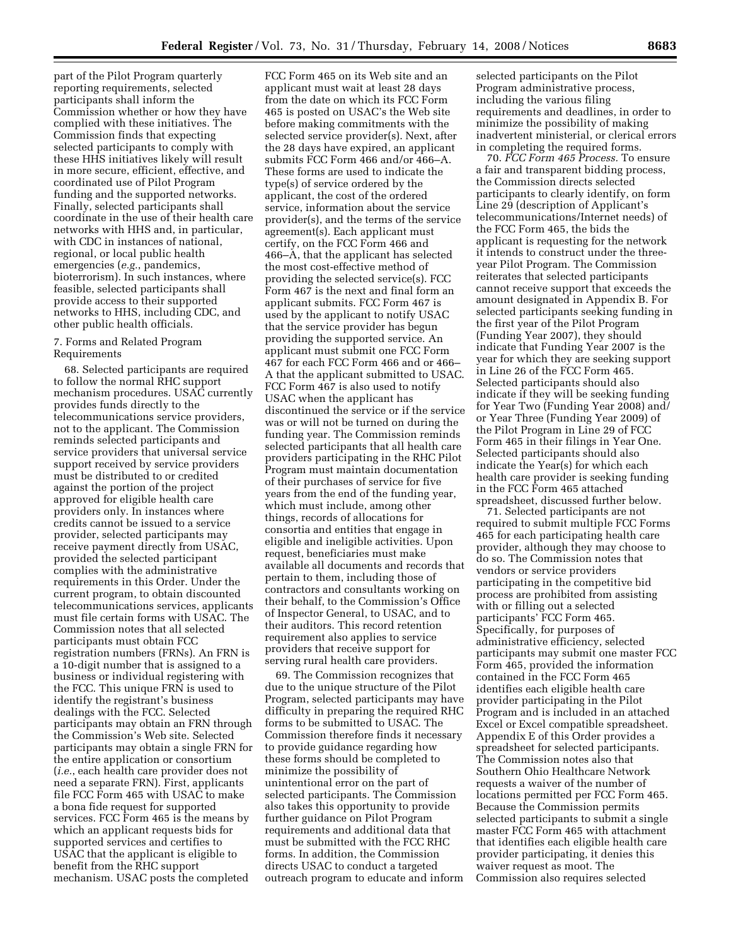part of the Pilot Program quarterly reporting requirements, selected participants shall inform the Commission whether or how they have complied with these initiatives. The Commission finds that expecting selected participants to comply with these HHS initiatives likely will result in more secure, efficient, effective, and coordinated use of Pilot Program funding and the supported networks. Finally, selected participants shall coordinate in the use of their health care networks with HHS and, in particular, with CDC in instances of national, regional, or local public health emergencies (*e.g.*, pandemics, bioterrorism). In such instances, where feasible, selected participants shall provide access to their supported networks to HHS, including CDC, and other public health officials.

## 7. Forms and Related Program Requirements

68. Selected participants are required to follow the normal RHC support mechanism procedures. USAC currently provides funds directly to the telecommunications service providers, not to the applicant. The Commission reminds selected participants and service providers that universal service support received by service providers must be distributed to or credited against the portion of the project approved for eligible health care providers only. In instances where credits cannot be issued to a service provider, selected participants may receive payment directly from USAC, provided the selected participant complies with the administrative requirements in this Order. Under the current program, to obtain discounted telecommunications services, applicants must file certain forms with USAC. The Commission notes that all selected participants must obtain FCC registration numbers (FRNs). An FRN is a 10-digit number that is assigned to a business or individual registering with the FCC. This unique FRN is used to identify the registrant's business dealings with the FCC. Selected participants may obtain an FRN through the Commission's Web site. Selected participants may obtain a single FRN for the entire application or consortium (*i.e.*, each health care provider does not need a separate FRN). First, applicants file FCC Form 465 with USAC to make a bona fide request for supported services. FCC Form 465 is the means by which an applicant requests bids for supported services and certifies to USAC that the applicant is eligible to benefit from the RHC support mechanism. USAC posts the completed

FCC Form 465 on its Web site and an applicant must wait at least 28 days from the date on which its FCC Form 465 is posted on USAC's the Web site before making commitments with the selected service provider(s). Next, after the 28 days have expired, an applicant submits FCC Form 466 and/or 466–A. These forms are used to indicate the type(s) of service ordered by the applicant, the cost of the ordered service, information about the service provider(s), and the terms of the service agreement(s). Each applicant must certify, on the FCC Form 466 and 466–A, that the applicant has selected the most cost-effective method of providing the selected service(s). FCC Form 467 is the next and final form an applicant submits. FCC Form 467 is used by the applicant to notify USAC that the service provider has begun providing the supported service. An applicant must submit one FCC Form 467 for each FCC Form 466 and or 466– A that the applicant submitted to USAC. FCC Form 467 is also used to notify USAC when the applicant has discontinued the service or if the service was or will not be turned on during the funding year. The Commission reminds selected participants that all health care providers participating in the RHC Pilot Program must maintain documentation of their purchases of service for five years from the end of the funding year, which must include, among other things, records of allocations for consortia and entities that engage in eligible and ineligible activities. Upon request, beneficiaries must make available all documents and records that pertain to them, including those of contractors and consultants working on their behalf, to the Commission's Office of Inspector General, to USAC, and to their auditors. This record retention requirement also applies to service providers that receive support for serving rural health care providers.

69. The Commission recognizes that due to the unique structure of the Pilot Program, selected participants may have difficulty in preparing the required RHC forms to be submitted to USAC. The Commission therefore finds it necessary to provide guidance regarding how these forms should be completed to minimize the possibility of unintentional error on the part of selected participants. The Commission also takes this opportunity to provide further guidance on Pilot Program requirements and additional data that must be submitted with the FCC RHC forms. In addition, the Commission directs USAC to conduct a targeted outreach program to educate and inform

selected participants on the Pilot Program administrative process, including the various filing requirements and deadlines, in order to minimize the possibility of making inadvertent ministerial, or clerical errors in completing the required forms.

70. *FCC Form 465 Process.* To ensure a fair and transparent bidding process, the Commission directs selected participants to clearly identify, on form Line 29 (description of Applicant's telecommunications/Internet needs) of the FCC Form 465, the bids the applicant is requesting for the network it intends to construct under the threeyear Pilot Program. The Commission reiterates that selected participants cannot receive support that exceeds the amount designated in Appendix B. For selected participants seeking funding in the first year of the Pilot Program (Funding Year 2007), they should indicate that Funding Year 2007 is the year for which they are seeking support in Line 26 of the FCC Form 465. Selected participants should also indicate if they will be seeking funding for Year Two (Funding Year 2008) and/ or Year Three (Funding Year 2009) of the Pilot Program in Line 29 of FCC Form 465 in their filings in Year One. Selected participants should also indicate the Year(s) for which each health care provider is seeking funding in the FCC Form 465 attached spreadsheet, discussed further below.

71. Selected participants are not required to submit multiple FCC Forms 465 for each participating health care provider, although they may choose to do so. The Commission notes that vendors or service providers participating in the competitive bid process are prohibited from assisting with or filling out a selected participants' FCC Form 465. Specifically, for purposes of administrative efficiency, selected participants may submit one master FCC Form 465, provided the information contained in the FCC Form 465 identifies each eligible health care provider participating in the Pilot Program and is included in an attached Excel or Excel compatible spreadsheet. Appendix E of this Order provides a spreadsheet for selected participants. The Commission notes also that Southern Ohio Healthcare Network requests a waiver of the number of locations permitted per FCC Form 465. Because the Commission permits selected participants to submit a single master FCC Form 465 with attachment that identifies each eligible health care provider participating, it denies this waiver request as moot. The Commission also requires selected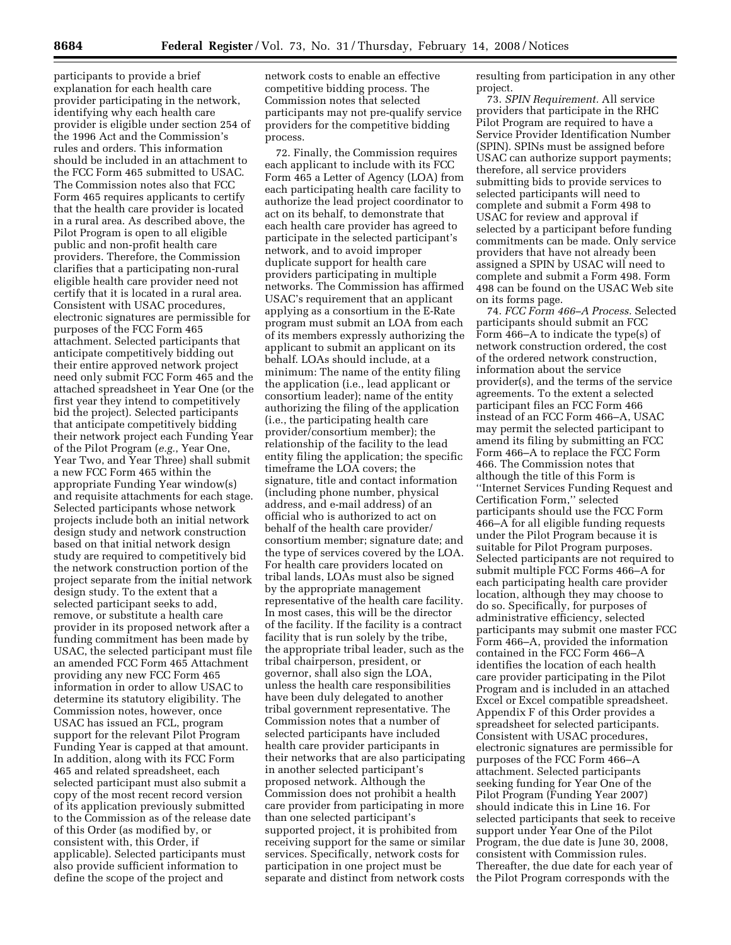participants to provide a brief explanation for each health care provider participating in the network, identifying why each health care provider is eligible under section 254 of the 1996 Act and the Commission's rules and orders. This information should be included in an attachment to the FCC Form 465 submitted to USAC. The Commission notes also that FCC Form 465 requires applicants to certify that the health care provider is located in a rural area. As described above, the Pilot Program is open to all eligible public and non-profit health care providers. Therefore, the Commission clarifies that a participating non-rural eligible health care provider need not certify that it is located in a rural area. Consistent with USAC procedures, electronic signatures are permissible for purposes of the FCC Form 465 attachment. Selected participants that anticipate competitively bidding out their entire approved network project need only submit FCC Form 465 and the attached spreadsheet in Year One (or the first year they intend to competitively bid the project). Selected participants that anticipate competitively bidding their network project each Funding Year of the Pilot Program (*e.g.*, Year One, Year Two, and Year Three) shall submit a new FCC Form 465 within the appropriate Funding Year window(s) and requisite attachments for each stage. Selected participants whose network projects include both an initial network design study and network construction based on that initial network design study are required to competitively bid the network construction portion of the project separate from the initial network design study. To the extent that a selected participant seeks to add, remove, or substitute a health care provider in its proposed network after a funding commitment has been made by USAC, the selected participant must file an amended FCC Form 465 Attachment providing any new FCC Form 465 information in order to allow USAC to determine its statutory eligibility. The Commission notes, however, once USAC has issued an FCL, program support for the relevant Pilot Program Funding Year is capped at that amount. In addition, along with its FCC Form 465 and related spreadsheet, each selected participant must also submit a copy of the most recent record version of its application previously submitted to the Commission as of the release date of this Order (as modified by, or consistent with, this Order, if applicable). Selected participants must also provide sufficient information to define the scope of the project and

network costs to enable an effective competitive bidding process. The Commission notes that selected participants may not pre-qualify service providers for the competitive bidding process.

72. Finally, the Commission requires each applicant to include with its FCC Form 465 a Letter of Agency (LOA) from each participating health care facility to authorize the lead project coordinator to act on its behalf, to demonstrate that each health care provider has agreed to participate in the selected participant's network, and to avoid improper duplicate support for health care providers participating in multiple networks. The Commission has affirmed USAC's requirement that an applicant applying as a consortium in the E-Rate program must submit an LOA from each of its members expressly authorizing the applicant to submit an applicant on its behalf. LOAs should include, at a minimum: The name of the entity filing the application (i.e., lead applicant or consortium leader); name of the entity authorizing the filing of the application (i.e., the participating health care provider/consortium member); the relationship of the facility to the lead entity filing the application; the specific timeframe the LOA covers; the signature, title and contact information (including phone number, physical address, and e-mail address) of an official who is authorized to act on behalf of the health care provider/ consortium member; signature date; and the type of services covered by the LOA. For health care providers located on tribal lands, LOAs must also be signed by the appropriate management representative of the health care facility. In most cases, this will be the director of the facility. If the facility is a contract facility that is run solely by the tribe, the appropriate tribal leader, such as the tribal chairperson, president, or governor, shall also sign the LOA, unless the health care responsibilities have been duly delegated to another tribal government representative. The Commission notes that a number of selected participants have included health care provider participants in their networks that are also participating in another selected participant's proposed network. Although the Commission does not prohibit a health care provider from participating in more than one selected participant's supported project, it is prohibited from receiving support for the same or similar services. Specifically, network costs for participation in one project must be separate and distinct from network costs

resulting from participation in any other project.

73. *SPIN Requirement.* All service providers that participate in the RHC Pilot Program are required to have a Service Provider Identification Number (SPIN). SPINs must be assigned before USAC can authorize support payments; therefore, all service providers submitting bids to provide services to selected participants will need to complete and submit a Form 498 to USAC for review and approval if selected by a participant before funding commitments can be made. Only service providers that have not already been assigned a SPIN by USAC will need to complete and submit a Form 498. Form 498 can be found on the USAC Web site on its forms page.

74. *FCC Form 466–A Process.* Selected participants should submit an FCC Form 466–A to indicate the type(s) of network construction ordered, the cost of the ordered network construction, information about the service provider(s), and the terms of the service agreements. To the extent a selected participant files an FCC Form 466 instead of an FCC Form 466–A, USAC may permit the selected participant to amend its filing by submitting an FCC Form 466–A to replace the FCC Form 466. The Commission notes that although the title of this Form is ''Internet Services Funding Request and Certification Form,'' selected participants should use the FCC Form 466–A for all eligible funding requests under the Pilot Program because it is suitable for Pilot Program purposes. Selected participants are not required to submit multiple FCC Forms 466–A for each participating health care provider location, although they may choose to do so. Specifically, for purposes of administrative efficiency, selected participants may submit one master FCC Form 466–A, provided the information contained in the FCC Form 466–A identifies the location of each health care provider participating in the Pilot Program and is included in an attached Excel or Excel compatible spreadsheet. Appendix F of this Order provides a spreadsheet for selected participants. Consistent with USAC procedures, electronic signatures are permissible for purposes of the FCC Form 466–A attachment. Selected participants seeking funding for Year One of the Pilot Program (Funding Year 2007) should indicate this in Line 16. For selected participants that seek to receive support under Year One of the Pilot Program, the due date is June 30, 2008, consistent with Commission rules. Thereafter, the due date for each year of the Pilot Program corresponds with the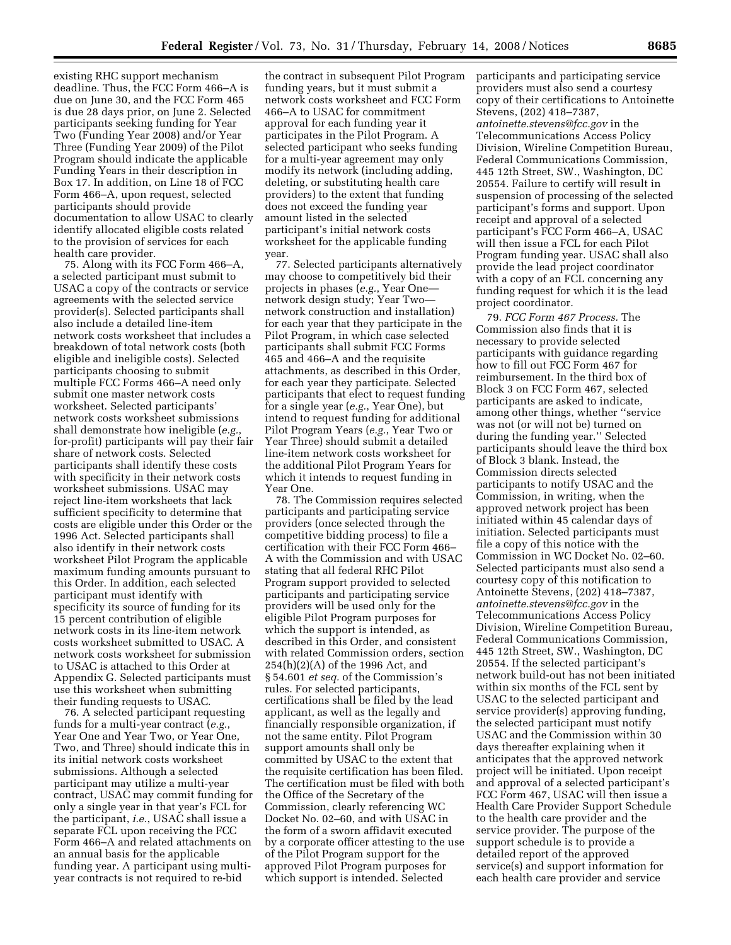existing RHC support mechanism deadline. Thus, the FCC Form 466–A is due on June 30, and the FCC Form 465 is due 28 days prior, on June 2. Selected participants seeking funding for Year Two (Funding Year 2008) and/or Year Three (Funding Year 2009) of the Pilot Program should indicate the applicable Funding Years in their description in Box 17. In addition, on Line 18 of FCC Form 466–A, upon request, selected participants should provide documentation to allow USAC to clearly identify allocated eligible costs related to the provision of services for each health care provider.

75. Along with its FCC Form 466–A, a selected participant must submit to USAC a copy of the contracts or service agreements with the selected service provider(s). Selected participants shall also include a detailed line-item network costs worksheet that includes a breakdown of total network costs (both eligible and ineligible costs). Selected participants choosing to submit multiple FCC Forms 466–A need only submit one master network costs worksheet. Selected participants' network costs worksheet submissions shall demonstrate how ineligible (*e.g.*, for-profit) participants will pay their fair share of network costs. Selected participants shall identify these costs with specificity in their network costs worksheet submissions. USAC may reject line-item worksheets that lack sufficient specificity to determine that costs are eligible under this Order or the 1996 Act. Selected participants shall also identify in their network costs worksheet Pilot Program the applicable maximum funding amounts pursuant to this Order. In addition, each selected participant must identify with specificity its source of funding for its 15 percent contribution of eligible network costs in its line-item network costs worksheet submitted to USAC. A network costs worksheet for submission to USAC is attached to this Order at Appendix G. Selected participants must use this worksheet when submitting their funding requests to USAC.

76. A selected participant requesting funds for a multi-year contract (*e.g.*, Year One and Year Two, or Year One, Two, and Three) should indicate this in its initial network costs worksheet submissions. Although a selected participant may utilize a multi-year contract, USAC may commit funding for only a single year in that year's FCL for the participant, *i.e.*, USAC shall issue a separate FCL upon receiving the FCC Form 466–A and related attachments on an annual basis for the applicable funding year. A participant using multiyear contracts is not required to re-bid

the contract in subsequent Pilot Program funding years, but it must submit a network costs worksheet and FCC Form 466–A to USAC for commitment approval for each funding year it participates in the Pilot Program. A selected participant who seeks funding for a multi-year agreement may only modify its network (including adding, deleting, or substituting health care providers) to the extent that funding does not exceed the funding year amount listed in the selected participant's initial network costs worksheet for the applicable funding year.

77. Selected participants alternatively may choose to competitively bid their projects in phases (*e.g.*, Year One network design study; Year Two network construction and installation) for each year that they participate in the Pilot Program, in which case selected participants shall submit FCC Forms 465 and 466–A and the requisite attachments, as described in this Order, for each year they participate. Selected participants that elect to request funding for a single year (*e.g.*, Year One), but intend to request funding for additional Pilot Program Years (*e.g.*, Year Two or Year Three) should submit a detailed line-item network costs worksheet for the additional Pilot Program Years for which it intends to request funding in Year One.

78. The Commission requires selected participants and participating service providers (once selected through the competitive bidding process) to file a certification with their FCC Form 466– A with the Commission and with USAC stating that all federal RHC Pilot Program support provided to selected participants and participating service providers will be used only for the eligible Pilot Program purposes for which the support is intended, as described in this Order, and consistent with related Commission orders, section 254(h)(2)(A) of the 1996 Act, and § 54.601 *et seq.* of the Commission's rules. For selected participants, certifications shall be filed by the lead applicant, as well as the legally and financially responsible organization, if not the same entity. Pilot Program support amounts shall only be committed by USAC to the extent that the requisite certification has been filed. The certification must be filed with both the Office of the Secretary of the Commission, clearly referencing WC Docket No. 02–60, and with USAC in the form of a sworn affidavit executed by a corporate officer attesting to the use of the Pilot Program support for the approved Pilot Program purposes for which support is intended. Selected

participants and participating service providers must also send a courtesy copy of their certifications to Antoinette Stevens, (202) 418–7387, *antoinette.stevens@fcc.gov* in the Telecommunications Access Policy Division, Wireline Competition Bureau, Federal Communications Commission, 445 12th Street, SW., Washington, DC 20554. Failure to certify will result in suspension of processing of the selected participant's forms and support. Upon receipt and approval of a selected participant's FCC Form 466–A, USAC will then issue a FCL for each Pilot Program funding year. USAC shall also provide the lead project coordinator with a copy of an FCL concerning any funding request for which it is the lead project coordinator.

79. *FCC Form 467 Process.* The Commission also finds that it is necessary to provide selected participants with guidance regarding how to fill out FCC Form 467 for reimbursement. In the third box of Block 3 on FCC Form 467, selected participants are asked to indicate, among other things, whether ''service was not (or will not be) turned on during the funding year.'' Selected participants should leave the third box of Block 3 blank. Instead, the Commission directs selected participants to notify USAC and the Commission, in writing, when the approved network project has been initiated within 45 calendar days of initiation. Selected participants must file a copy of this notice with the Commission in WC Docket No. 02–60. Selected participants must also send a courtesy copy of this notification to Antoinette Stevens, (202) 418–7387, *antoinette.stevens@fcc.gov* in the Telecommunications Access Policy Division, Wireline Competition Bureau, Federal Communications Commission, 445 12th Street, SW., Washington, DC 20554. If the selected participant's network build-out has not been initiated within six months of the FCL sent by USAC to the selected participant and service provider(s) approving funding, the selected participant must notify USAC and the Commission within 30 days thereafter explaining when it anticipates that the approved network project will be initiated. Upon receipt and approval of a selected participant's FCC Form 467, USAC will then issue a Health Care Provider Support Schedule to the health care provider and the service provider. The purpose of the support schedule is to provide a detailed report of the approved service(s) and support information for each health care provider and service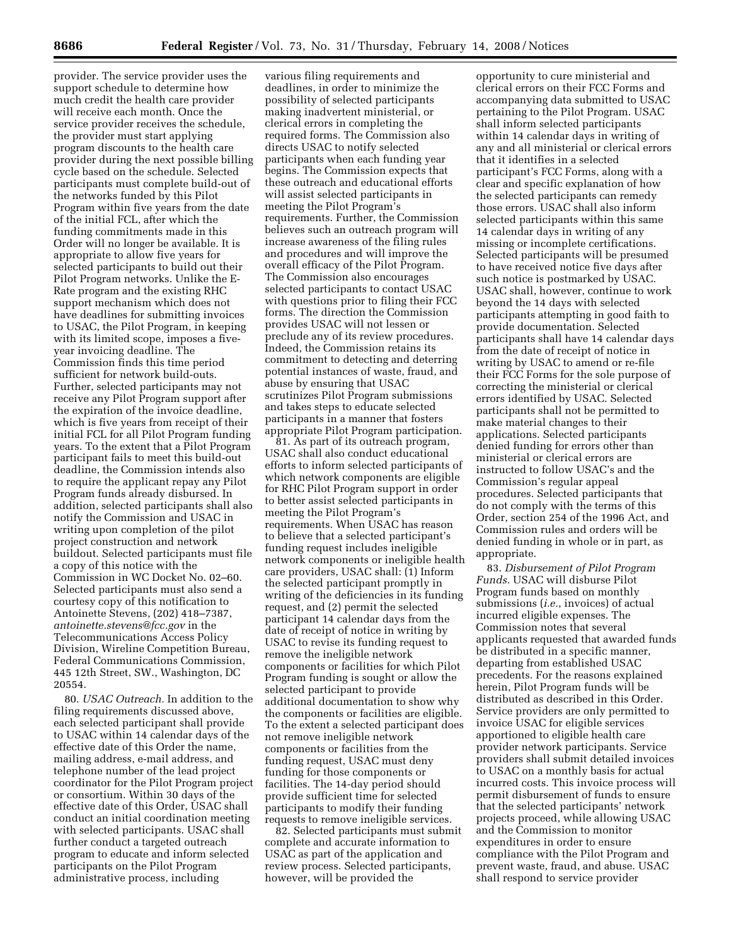provider. The service provider uses the support schedule to determine how much credit the health care provider will receive each month. Once the service provider receives the schedule, the provider must start applying program discounts to the health care provider during the next possible billing cycle based on the schedule. Selected participants must complete build-out of the networks funded by this Pilot Program within five years from the date of the initial FCL, after which the funding commitments made in this Order will no longer be available. It is appropriate to allow five years for selected participants to build out their Pilot Program networks. Unlike the E-Rate program and the existing RHC support mechanism which does not have deadlines for submitting invoices to USAC, the Pilot Program, in keeping with its limited scope, imposes a fiveyear invoicing deadline. The Commission finds this time period sufficient for network build-outs. Further, selected participants may not receive any Pilot Program support after the expiration of the invoice deadline, which is five years from receipt of their initial FCL for all Pilot Program funding years. To the extent that a Pilot Program participant fails to meet this build-out deadline, the Commission intends also to require the applicant repay any Pilot Program funds already disbursed. In addition, selected participants shall also notify the Commission and USAC in writing upon completion of the pilot project construction and network buildout. Selected participants must file a copy of this notice with the Commission in WC Docket No. 02–60. Selected participants must also send a courtesy copy of this notification to Antoinette Stevens, (202) 418–7387, *antoinette.stevens@fcc.gov* in the Telecommunications Access Policy Division, Wireline Competition Bureau, Federal Communications Commission, 445 12th Street, SW., Washington, DC 20554.

80. *USAC Outreach.* In addition to the filing requirements discussed above, each selected participant shall provide to USAC within 14 calendar days of the effective date of this Order the name, mailing address, e-mail address, and telephone number of the lead project coordinator for the Pilot Program project or consortium. Within 30 days of the effective date of this Order, USAC shall conduct an initial coordination meeting with selected participants. USAC shall further conduct a targeted outreach program to educate and inform selected participants on the Pilot Program administrative process, including

various filing requirements and deadlines, in order to minimize the possibility of selected participants making inadvertent ministerial, or clerical errors in completing the required forms. The Commission also directs USAC to notify selected participants when each funding year begins. The Commission expects that these outreach and educational efforts will assist selected participants in meeting the Pilot Program's requirements. Further, the Commission believes such an outreach program will increase awareness of the filing rules and procedures and will improve the overall efficacy of the Pilot Program. The Commission also encourages selected participants to contact USAC with questions prior to filing their FCC forms. The direction the Commission provides USAC will not lessen or preclude any of its review procedures. Indeed, the Commission retains its commitment to detecting and deterring potential instances of waste, fraud, and abuse by ensuring that USAC scrutinizes Pilot Program submissions and takes steps to educate selected participants in a manner that fosters appropriate Pilot Program participation.

81. As part of its outreach program, USAC shall also conduct educational efforts to inform selected participants of which network components are eligible for RHC Pilot Program support in order to better assist selected participants in meeting the Pilot Program's requirements. When USAC has reason to believe that a selected participant's funding request includes ineligible network components or ineligible health care providers, USAC shall: (1) Inform the selected participant promptly in writing of the deficiencies in its funding request, and (2) permit the selected participant 14 calendar days from the date of receipt of notice in writing by USAC to revise its funding request to remove the ineligible network components or facilities for which Pilot Program funding is sought or allow the selected participant to provide additional documentation to show why the components or facilities are eligible. To the extent a selected participant does not remove ineligible network components or facilities from the funding request, USAC must deny funding for those components or facilities. The 14-day period should provide sufficient time for selected participants to modify their funding requests to remove ineligible services.

82. Selected participants must submit complete and accurate information to USAC as part of the application and review process. Selected participants, however, will be provided the

opportunity to cure ministerial and clerical errors on their FCC Forms and accompanying data submitted to USAC pertaining to the Pilot Program. USAC shall inform selected participants within 14 calendar days in writing of any and all ministerial or clerical errors that it identifies in a selected participant's FCC Forms, along with a clear and specific explanation of how the selected participants can remedy those errors. USAC shall also inform selected participants within this same 14 calendar days in writing of any missing or incomplete certifications. Selected participants will be presumed to have received notice five days after such notice is postmarked by USAC. USAC shall, however, continue to work beyond the 14 days with selected participants attempting in good faith to provide documentation. Selected participants shall have 14 calendar days from the date of receipt of notice in writing by USAC to amend or re-file their FCC Forms for the sole purpose of correcting the ministerial or clerical errors identified by USAC. Selected participants shall not be permitted to make material changes to their applications. Selected participants denied funding for errors other than ministerial or clerical errors are instructed to follow USAC's and the Commission's regular appeal procedures. Selected participants that do not comply with the terms of this Order, section 254 of the 1996 Act, and Commission rules and orders will be denied funding in whole or in part, as appropriate.

83. *Disbursement of Pilot Program Funds.* USAC will disburse Pilot Program funds based on monthly submissions (*i.e.*, invoices) of actual incurred eligible expenses. The Commission notes that several applicants requested that awarded funds be distributed in a specific manner, departing from established USAC precedents. For the reasons explained herein, Pilot Program funds will be distributed as described in this Order. Service providers are only permitted to invoice USAC for eligible services apportioned to eligible health care provider network participants. Service providers shall submit detailed invoices to USAC on a monthly basis for actual incurred costs. This invoice process will permit disbursement of funds to ensure that the selected participants' network projects proceed, while allowing USAC and the Commission to monitor expenditures in order to ensure compliance with the Pilot Program and prevent waste, fraud, and abuse. USAC shall respond to service provider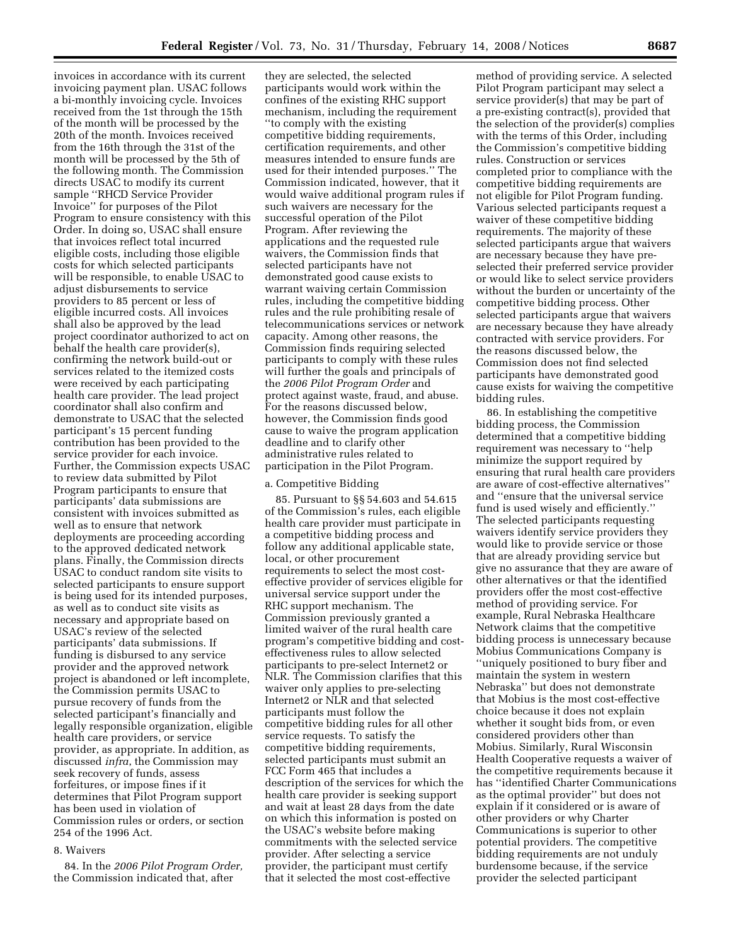invoices in accordance with its current invoicing payment plan. USAC follows a bi-monthly invoicing cycle. Invoices received from the 1st through the 15th of the month will be processed by the 20th of the month. Invoices received from the 16th through the 31st of the month will be processed by the 5th of the following month. The Commission directs USAC to modify its current sample ''RHCD Service Provider Invoice'' for purposes of the Pilot Program to ensure consistency with this Order. In doing so, USAC shall ensure that invoices reflect total incurred eligible costs, including those eligible costs for which selected participants will be responsible, to enable USAC to adjust disbursements to service providers to 85 percent or less of eligible incurred costs. All invoices shall also be approved by the lead project coordinator authorized to act on behalf the health care provider(s), confirming the network build-out or services related to the itemized costs were received by each participating health care provider. The lead project coordinator shall also confirm and demonstrate to USAC that the selected participant's 15 percent funding contribution has been provided to the service provider for each invoice. Further, the Commission expects USAC to review data submitted by Pilot Program participants to ensure that participants' data submissions are consistent with invoices submitted as well as to ensure that network deployments are proceeding according to the approved dedicated network plans. Finally, the Commission directs USAC to conduct random site visits to selected participants to ensure support is being used for its intended purposes, as well as to conduct site visits as necessary and appropriate based on USAC's review of the selected participants' data submissions. If funding is disbursed to any service provider and the approved network project is abandoned or left incomplete, the Commission permits USAC to pursue recovery of funds from the selected participant's financially and legally responsible organization, eligible health care providers, or service provider, as appropriate. In addition, as discussed *infra*, the Commission may seek recovery of funds, assess forfeitures, or impose fines if it determines that Pilot Program support has been used in violation of Commission rules or orders, or section 254 of the 1996 Act.

# 8. Waivers

84. In the *2006 Pilot Program Order,*  the Commission indicated that, after

they are selected, the selected participants would work within the confines of the existing RHC support mechanism, including the requirement ''to comply with the existing competitive bidding requirements, certification requirements, and other measures intended to ensure funds are used for their intended purposes.'' The Commission indicated, however, that it would waive additional program rules if such waivers are necessary for the successful operation of the Pilot Program. After reviewing the applications and the requested rule waivers, the Commission finds that selected participants have not demonstrated good cause exists to warrant waiving certain Commission rules, including the competitive bidding rules and the rule prohibiting resale of telecommunications services or network capacity. Among other reasons, the Commission finds requiring selected participants to comply with these rules will further the goals and principals of the *2006 Pilot Program Order* and protect against waste, fraud, and abuse. For the reasons discussed below, however, the Commission finds good cause to waive the program application deadline and to clarify other administrative rules related to participation in the Pilot Program.

## a. Competitive Bidding

85. Pursuant to §§ 54.603 and 54.615 of the Commission's rules, each eligible health care provider must participate in a competitive bidding process and follow any additional applicable state, local, or other procurement requirements to select the most costeffective provider of services eligible for universal service support under the RHC support mechanism. The Commission previously granted a limited waiver of the rural health care program's competitive bidding and costeffectiveness rules to allow selected participants to pre-select Internet2 or NLR. The Commission clarifies that this waiver only applies to pre-selecting Internet2 or NLR and that selected participants must follow the competitive bidding rules for all other service requests. To satisfy the competitive bidding requirements, selected participants must submit an FCC Form 465 that includes a description of the services for which the health care provider is seeking support and wait at least 28 days from the date on which this information is posted on the USAC's website before making commitments with the selected service provider. After selecting a service provider, the participant must certify that it selected the most cost-effective

method of providing service. A selected Pilot Program participant may select a service provider(s) that may be part of a pre-existing contract(s), provided that the selection of the provider(s) complies with the terms of this Order, including the Commission's competitive bidding rules. Construction or services completed prior to compliance with the competitive bidding requirements are not eligible for Pilot Program funding. Various selected participants request a waiver of these competitive bidding requirements. The majority of these selected participants argue that waivers are necessary because they have preselected their preferred service provider or would like to select service providers without the burden or uncertainty of the competitive bidding process. Other selected participants argue that waivers are necessary because they have already contracted with service providers. For the reasons discussed below, the Commission does not find selected participants have demonstrated good cause exists for waiving the competitive bidding rules.

86. In establishing the competitive bidding process, the Commission determined that a competitive bidding requirement was necessary to ''help minimize the support required by ensuring that rural health care providers are aware of cost-effective alternatives'' and ''ensure that the universal service fund is used wisely and efficiently.'' The selected participants requesting waivers identify service providers they would like to provide service or those that are already providing service but give no assurance that they are aware of other alternatives or that the identified providers offer the most cost-effective method of providing service. For example, Rural Nebraska Healthcare Network claims that the competitive bidding process is unnecessary because Mobius Communications Company is ''uniquely positioned to bury fiber and maintain the system in western Nebraska'' but does not demonstrate that Mobius is the most cost-effective choice because it does not explain whether it sought bids from, or even considered providers other than Mobius. Similarly, Rural Wisconsin Health Cooperative requests a waiver of the competitive requirements because it has ''identified Charter Communications as the optimal provider'' but does not explain if it considered or is aware of other providers or why Charter Communications is superior to other potential providers. The competitive bidding requirements are not unduly burdensome because, if the service provider the selected participant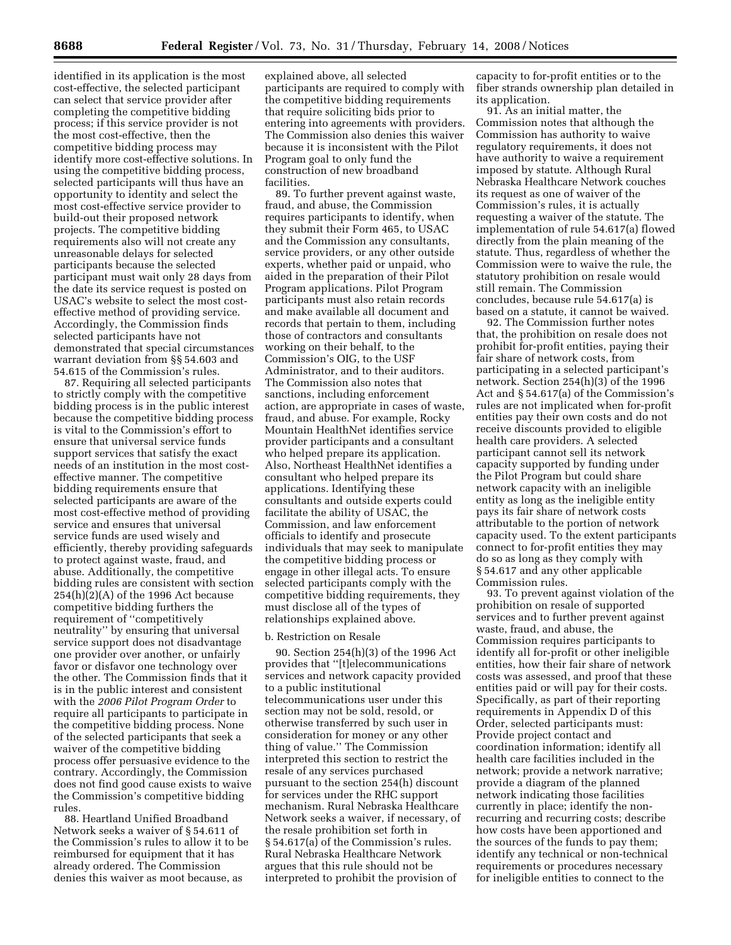identified in its application is the most cost-effective, the selected participant can select that service provider after completing the competitive bidding process; if this service provider is not the most cost-effective, then the competitive bidding process may identify more cost-effective solutions. In using the competitive bidding process, selected participants will thus have an opportunity to identity and select the most cost-effective service provider to build-out their proposed network projects. The competitive bidding requirements also will not create any unreasonable delays for selected participants because the selected participant must wait only 28 days from the date its service request is posted on USAC's website to select the most costeffective method of providing service. Accordingly, the Commission finds selected participants have not demonstrated that special circumstances warrant deviation from §§ 54.603 and 54.615 of the Commission's rules.

87. Requiring all selected participants to strictly comply with the competitive bidding process is in the public interest because the competitive bidding process is vital to the Commission's effort to ensure that universal service funds support services that satisfy the exact needs of an institution in the most costeffective manner. The competitive bidding requirements ensure that selected participants are aware of the most cost-effective method of providing service and ensures that universal service funds are used wisely and efficiently, thereby providing safeguards to protect against waste, fraud, and abuse. Additionally, the competitive bidding rules are consistent with section  $254(h)(2)(A)$  of the 1996 Act because competitive bidding furthers the requirement of ''competitively neutrality'' by ensuring that universal service support does not disadvantage one provider over another, or unfairly favor or disfavor one technology over the other. The Commission finds that it is in the public interest and consistent with the *2006 Pilot Program Order* to require all participants to participate in the competitive bidding process. None of the selected participants that seek a waiver of the competitive bidding process offer persuasive evidence to the contrary. Accordingly, the Commission does not find good cause exists to waive the Commission's competitive bidding rules.

88. Heartland Unified Broadband Network seeks a waiver of § 54.611 of the Commission's rules to allow it to be reimbursed for equipment that it has already ordered. The Commission denies this waiver as moot because, as

explained above, all selected participants are required to comply with the competitive bidding requirements that require soliciting bids prior to entering into agreements with providers. The Commission also denies this waiver because it is inconsistent with the Pilot Program goal to only fund the construction of new broadband facilities.

89. To further prevent against waste, fraud, and abuse, the Commission requires participants to identify, when they submit their Form 465, to USAC and the Commission any consultants, service providers, or any other outside experts, whether paid or unpaid, who aided in the preparation of their Pilot Program applications. Pilot Program participants must also retain records and make available all document and records that pertain to them, including those of contractors and consultants working on their behalf, to the Commission's OIG, to the USF Administrator, and to their auditors. The Commission also notes that sanctions, including enforcement action, are appropriate in cases of waste, fraud, and abuse. For example, Rocky Mountain HealthNet identifies service provider participants and a consultant who helped prepare its application. Also, Northeast HealthNet identifies a consultant who helped prepare its applications. Identifying these consultants and outside experts could facilitate the ability of USAC, the Commission, and law enforcement officials to identify and prosecute individuals that may seek to manipulate the competitive bidding process or engage in other illegal acts. To ensure selected participants comply with the competitive bidding requirements, they must disclose all of the types of relationships explained above.

## b. Restriction on Resale

90. Section 254(h)(3) of the 1996 Act provides that ''[t]elecommunications services and network capacity provided to a public institutional telecommunications user under this section may not be sold, resold, or otherwise transferred by such user in consideration for money or any other thing of value.'' The Commission interpreted this section to restrict the resale of any services purchased pursuant to the section 254(h) discount for services under the RHC support mechanism. Rural Nebraska Healthcare Network seeks a waiver, if necessary, of the resale prohibition set forth in § 54.617(a) of the Commission's rules. Rural Nebraska Healthcare Network argues that this rule should not be interpreted to prohibit the provision of

capacity to for-profit entities or to the fiber strands ownership plan detailed in its application.

91. As an initial matter, the Commission notes that although the Commission has authority to waive regulatory requirements, it does not have authority to waive a requirement imposed by statute. Although Rural Nebraska Healthcare Network couches its request as one of waiver of the Commission's rules, it is actually requesting a waiver of the statute. The implementation of rule 54.617(a) flowed directly from the plain meaning of the statute. Thus, regardless of whether the Commission were to waive the rule, the statutory prohibition on resale would still remain. The Commission concludes, because rule 54.617(a) is based on a statute, it cannot be waived.

92. The Commission further notes that, the prohibition on resale does not prohibit for-profit entities, paying their fair share of network costs, from participating in a selected participant's network. Section 254(h)(3) of the 1996 Act and § 54.617(a) of the Commission's rules are not implicated when for-profit entities pay their own costs and do not receive discounts provided to eligible health care providers. A selected participant cannot sell its network capacity supported by funding under the Pilot Program but could share network capacity with an ineligible entity as long as the ineligible entity pays its fair share of network costs attributable to the portion of network capacity used. To the extent participants connect to for-profit entities they may do so as long as they comply with § 54.617 and any other applicable Commission rules.

93. To prevent against violation of the prohibition on resale of supported services and to further prevent against waste, fraud, and abuse, the Commission requires participants to identify all for-profit or other ineligible entities, how their fair share of network costs was assessed, and proof that these entities paid or will pay for their costs. Specifically, as part of their reporting requirements in Appendix D of this Order, selected participants must: Provide project contact and coordination information; identify all health care facilities included in the network; provide a network narrative; provide a diagram of the planned network indicating those facilities currently in place; identify the nonrecurring and recurring costs; describe how costs have been apportioned and the sources of the funds to pay them; identify any technical or non-technical requirements or procedures necessary for ineligible entities to connect to the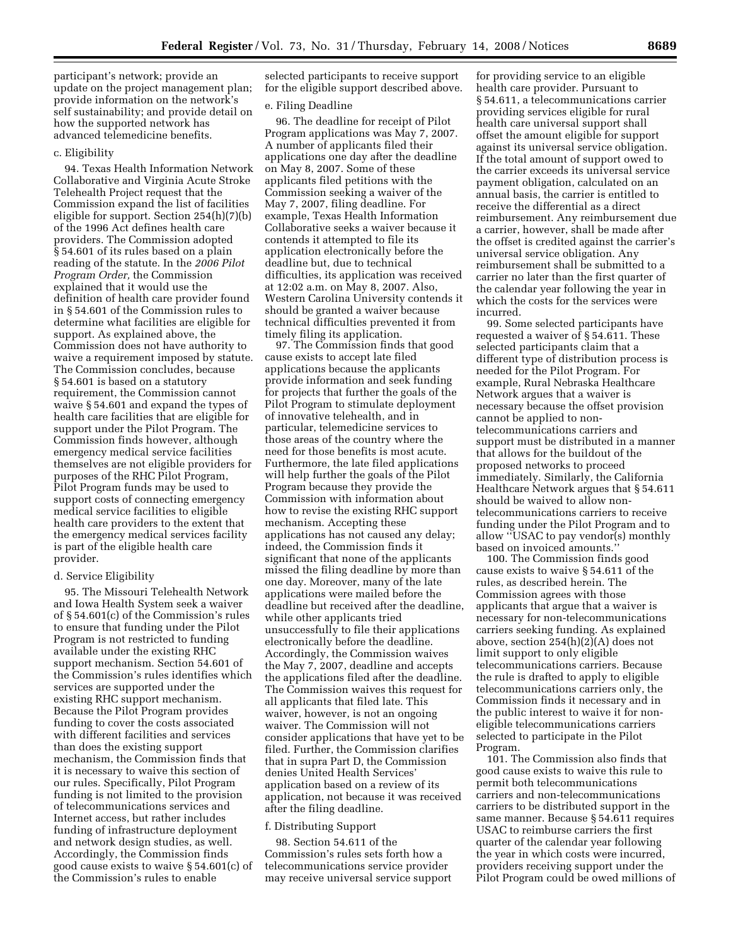participant's network; provide an update on the project management plan; provide information on the network's self sustainability; and provide detail on how the supported network has advanced telemedicine benefits.

#### c. Eligibility

94. Texas Health Information Network Collaborative and Virginia Acute Stroke Telehealth Project request that the Commission expand the list of facilities eligible for support. Section 254(h)(7)(b) of the 1996 Act defines health care providers. The Commission adopted § 54.601 of its rules based on a plain reading of the statute. In the *2006 Pilot Program Order,* the Commission explained that it would use the definition of health care provider found in § 54.601 of the Commission rules to determine what facilities are eligible for support. As explained above, the Commission does not have authority to waive a requirement imposed by statute. The Commission concludes, because § 54.601 is based on a statutory requirement, the Commission cannot waive § 54.601 and expand the types of health care facilities that are eligible for support under the Pilot Program. The Commission finds however, although emergency medical service facilities themselves are not eligible providers for purposes of the RHC Pilot Program, Pilot Program funds may be used to support costs of connecting emergency medical service facilities to eligible health care providers to the extent that the emergency medical services facility is part of the eligible health care provider.

## d. Service Eligibility

95. The Missouri Telehealth Network and Iowa Health System seek a waiver of § 54.601(c) of the Commission's rules to ensure that funding under the Pilot Program is not restricted to funding available under the existing RHC support mechanism. Section 54.601 of the Commission's rules identifies which services are supported under the existing RHC support mechanism. Because the Pilot Program provides funding to cover the costs associated with different facilities and services than does the existing support mechanism, the Commission finds that it is necessary to waive this section of our rules. Specifically, Pilot Program funding is not limited to the provision of telecommunications services and Internet access, but rather includes funding of infrastructure deployment and network design studies, as well. Accordingly, the Commission finds good cause exists to waive § 54.601(c) of the Commission's rules to enable

selected participants to receive support for the eligible support described above.

### e. Filing Deadline

96. The deadline for receipt of Pilot Program applications was May 7, 2007. A number of applicants filed their applications one day after the deadline on May 8, 2007. Some of these applicants filed petitions with the Commission seeking a waiver of the May 7, 2007, filing deadline. For example, Texas Health Information Collaborative seeks a waiver because it contends it attempted to file its application electronically before the deadline but, due to technical difficulties, its application was received at 12:02 a.m. on May 8, 2007. Also, Western Carolina University contends it should be granted a waiver because technical difficulties prevented it from timely filing its application.

97. The Commission finds that good cause exists to accept late filed applications because the applicants provide information and seek funding for projects that further the goals of the Pilot Program to stimulate deployment of innovative telehealth, and in particular, telemedicine services to those areas of the country where the need for those benefits is most acute. Furthermore, the late filed applications will help further the goals of the Pilot Program because they provide the Commission with information about how to revise the existing RHC support mechanism. Accepting these applications has not caused any delay; indeed, the Commission finds it significant that none of the applicants missed the filing deadline by more than one day. Moreover, many of the late applications were mailed before the deadline but received after the deadline, while other applicants tried unsuccessfully to file their applications electronically before the deadline. Accordingly, the Commission waives the May 7, 2007, deadline and accepts the applications filed after the deadline. The Commission waives this request for all applicants that filed late. This waiver, however, is not an ongoing waiver. The Commission will not consider applications that have yet to be filed. Further, the Commission clarifies that in supra Part D, the Commission denies United Health Services' application based on a review of its application, not because it was received after the filing deadline.

# f. Distributing Support

98. Section 54.611 of the Commission's rules sets forth how a telecommunications service provider may receive universal service support

for providing service to an eligible health care provider. Pursuant to § 54.611, a telecommunications carrier providing services eligible for rural health care universal support shall offset the amount eligible for support against its universal service obligation. If the total amount of support owed to the carrier exceeds its universal service payment obligation, calculated on an annual basis, the carrier is entitled to receive the differential as a direct reimbursement. Any reimbursement due a carrier, however, shall be made after the offset is credited against the carrier's universal service obligation. Any reimbursement shall be submitted to a carrier no later than the first quarter of the calendar year following the year in which the costs for the services were incurred.

99. Some selected participants have requested a waiver of § 54.611. These selected participants claim that a different type of distribution process is needed for the Pilot Program. For example, Rural Nebraska Healthcare Network argues that a waiver is necessary because the offset provision cannot be applied to nontelecommunications carriers and support must be distributed in a manner that allows for the buildout of the proposed networks to proceed immediately. Similarly, the California Healthcare Network argues that § 54.611 should be waived to allow nontelecommunications carriers to receive funding under the Pilot Program and to allow ''USAC to pay vendor(s) monthly based on invoiced amounts.

100. The Commission finds good cause exists to waive § 54.611 of the rules, as described herein. The Commission agrees with those applicants that argue that a waiver is necessary for non-telecommunications carriers seeking funding. As explained above, section 254(h)(2)(A) does not limit support to only eligible telecommunications carriers. Because the rule is drafted to apply to eligible telecommunications carriers only, the Commission finds it necessary and in the public interest to waive it for noneligible telecommunications carriers selected to participate in the Pilot Program.

101. The Commission also finds that good cause exists to waive this rule to permit both telecommunications carriers and non-telecommunications carriers to be distributed support in the same manner. Because § 54.611 requires USAC to reimburse carriers the first quarter of the calendar year following the year in which costs were incurred, providers receiving support under the Pilot Program could be owed millions of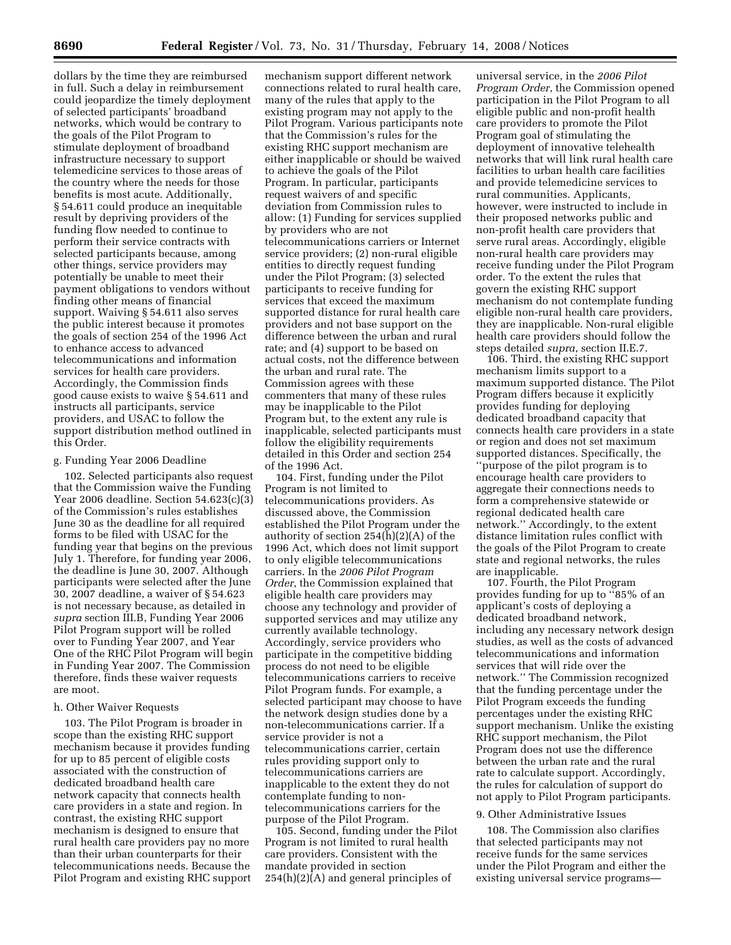dollars by the time they are reimbursed in full. Such a delay in reimbursement could jeopardize the timely deployment of selected participants' broadband networks, which would be contrary to the goals of the Pilot Program to stimulate deployment of broadband infrastructure necessary to support telemedicine services to those areas of the country where the needs for those benefits is most acute. Additionally, § 54.611 could produce an inequitable result by depriving providers of the funding flow needed to continue to perform their service contracts with selected participants because, among other things, service providers may potentially be unable to meet their payment obligations to vendors without finding other means of financial support. Waiving § 54.611 also serves the public interest because it promotes the goals of section 254 of the 1996 Act to enhance access to advanced telecommunications and information services for health care providers. Accordingly, the Commission finds good cause exists to waive § 54.611 and instructs all participants, service providers, and USAC to follow the support distribution method outlined in this Order.

# g. Funding Year 2006 Deadline

102. Selected participants also request that the Commission waive the Funding Year 2006 deadline. Section 54.623(c)(3) of the Commission's rules establishes June 30 as the deadline for all required forms to be filed with USAC for the funding year that begins on the previous July 1. Therefore, for funding year 2006, the deadline is June 30, 2007. Although participants were selected after the June 30, 2007 deadline, a waiver of § 54.623 is not necessary because, as detailed in *supra* section III.B, Funding Year 2006 Pilot Program support will be rolled over to Funding Year 2007, and Year One of the RHC Pilot Program will begin in Funding Year 2007. The Commission therefore, finds these waiver requests are moot.

#### h. Other Waiver Requests

103. The Pilot Program is broader in scope than the existing RHC support mechanism because it provides funding for up to 85 percent of eligible costs associated with the construction of dedicated broadband health care network capacity that connects health care providers in a state and region. In contrast, the existing RHC support mechanism is designed to ensure that rural health care providers pay no more than their urban counterparts for their telecommunications needs. Because the Pilot Program and existing RHC support

mechanism support different network connections related to rural health care, many of the rules that apply to the existing program may not apply to the Pilot Program. Various participants note that the Commission's rules for the existing RHC support mechanism are either inapplicable or should be waived to achieve the goals of the Pilot Program. In particular, participants request waivers of and specific deviation from Commission rules to allow: (1) Funding for services supplied by providers who are not telecommunications carriers or Internet service providers; (2) non-rural eligible entities to directly request funding under the Pilot Program; (3) selected participants to receive funding for services that exceed the maximum supported distance for rural health care providers and not base support on the difference between the urban and rural rate; and (4) support to be based on actual costs, not the difference between the urban and rural rate. The Commission agrees with these commenters that many of these rules may be inapplicable to the Pilot Program but, to the extent any rule is inapplicable, selected participants must follow the eligibility requirements detailed in this Order and section 254 of the 1996 Act.

104. First, funding under the Pilot Program is not limited to telecommunications providers. As discussed above, the Commission established the Pilot Program under the authority of section 254(h)(2)(A) of the 1996 Act, which does not limit support to only eligible telecommunications carriers. In the *2006 Pilot Program Order*, the Commission explained that eligible health care providers may choose any technology and provider of supported services and may utilize any currently available technology. Accordingly, service providers who participate in the competitive bidding process do not need to be eligible telecommunications carriers to receive Pilot Program funds. For example, a selected participant may choose to have the network design studies done by a non-telecommunications carrier. If a service provider is not a telecommunications carrier, certain rules providing support only to telecommunications carriers are inapplicable to the extent they do not contemplate funding to nontelecommunications carriers for the purpose of the Pilot Program.

105. Second, funding under the Pilot Program is not limited to rural health care providers. Consistent with the mandate provided in section 254(h)(2)(A) and general principles of

universal service, in the *2006 Pilot Program Order*, the Commission opened participation in the Pilot Program to all eligible public and non-profit health care providers to promote the Pilot Program goal of stimulating the deployment of innovative telehealth networks that will link rural health care facilities to urban health care facilities and provide telemedicine services to rural communities. Applicants, however, were instructed to include in their proposed networks public and non-profit health care providers that serve rural areas. Accordingly, eligible non-rural health care providers may receive funding under the Pilot Program order. To the extent the rules that govern the existing RHC support mechanism do not contemplate funding eligible non-rural health care providers, they are inapplicable. Non-rural eligible health care providers should follow the steps detailed *supra*, section II.E.7.

106. Third, the existing RHC support mechanism limits support to a maximum supported distance. The Pilot Program differs because it explicitly provides funding for deploying dedicated broadband capacity that connects health care providers in a state or region and does not set maximum supported distances. Specifically, the ''purpose of the pilot program is to encourage health care providers to aggregate their connections needs to form a comprehensive statewide or regional dedicated health care network.'' Accordingly, to the extent distance limitation rules conflict with the goals of the Pilot Program to create state and regional networks, the rules are inapplicable.

107. Fourth, the Pilot Program provides funding for up to ''85% of an applicant's costs of deploying a dedicated broadband network, including any necessary network design studies, as well as the costs of advanced telecommunications and information services that will ride over the network.'' The Commission recognized that the funding percentage under the Pilot Program exceeds the funding percentages under the existing RHC support mechanism. Unlike the existing RHC support mechanism, the Pilot Program does not use the difference between the urban rate and the rural rate to calculate support. Accordingly, the rules for calculation of support do not apply to Pilot Program participants.

# 9. Other Administrative Issues

108. The Commission also clarifies that selected participants may not receive funds for the same services under the Pilot Program and either the existing universal service programs—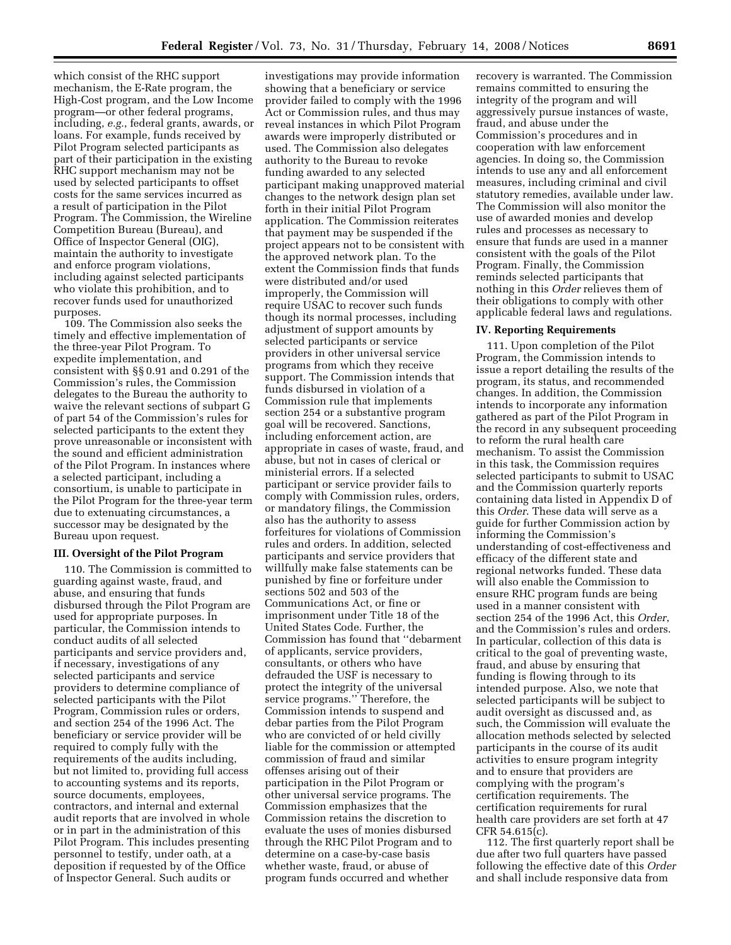which consist of the RHC support mechanism, the E-Rate program, the High-Cost program, and the Low Income program—or other federal programs, including, *e.g.*, federal grants, awards, or loans. For example, funds received by Pilot Program selected participants as part of their participation in the existing RHC support mechanism may not be used by selected participants to offset costs for the same services incurred as a result of participation in the Pilot Program. The Commission, the Wireline Competition Bureau (Bureau), and Office of Inspector General (OIG), maintain the authority to investigate and enforce program violations, including against selected participants who violate this prohibition, and to recover funds used for unauthorized purposes.

109. The Commission also seeks the timely and effective implementation of the three-year Pilot Program. To expedite implementation, and consistent with §§ 0.91 and 0.291 of the Commission's rules, the Commission delegates to the Bureau the authority to waive the relevant sections of subpart G of part 54 of the Commission's rules for selected participants to the extent they prove unreasonable or inconsistent with the sound and efficient administration of the Pilot Program. In instances where a selected participant, including a consortium, is unable to participate in the Pilot Program for the three-year term due to extenuating circumstances, a successor may be designated by the Bureau upon request.

#### **III. Oversight of the Pilot Program**

110. The Commission is committed to guarding against waste, fraud, and abuse, and ensuring that funds disbursed through the Pilot Program are used for appropriate purposes. In particular, the Commission intends to conduct audits of all selected participants and service providers and, if necessary, investigations of any selected participants and service providers to determine compliance of selected participants with the Pilot Program, Commission rules or orders, and section 254 of the 1996 Act. The beneficiary or service provider will be required to comply fully with the requirements of the audits including, but not limited to, providing full access to accounting systems and its reports, source documents, employees, contractors, and internal and external audit reports that are involved in whole or in part in the administration of this Pilot Program. This includes presenting personnel to testify, under oath, at a deposition if requested by of the Office of Inspector General. Such audits or

investigations may provide information showing that a beneficiary or service provider failed to comply with the 1996 Act or Commission rules, and thus may reveal instances in which Pilot Program awards were improperly distributed or used. The Commission also delegates authority to the Bureau to revoke funding awarded to any selected participant making unapproved material changes to the network design plan set forth in their initial Pilot Program application. The Commission reiterates that payment may be suspended if the project appears not to be consistent with the approved network plan. To the extent the Commission finds that funds were distributed and/or used improperly, the Commission will require USAC to recover such funds though its normal processes, including adjustment of support amounts by selected participants or service providers in other universal service programs from which they receive support. The Commission intends that funds disbursed in violation of a Commission rule that implements section 254 or a substantive program goal will be recovered. Sanctions, including enforcement action, are appropriate in cases of waste, fraud, and abuse, but not in cases of clerical or ministerial errors. If a selected participant or service provider fails to comply with Commission rules, orders, or mandatory filings, the Commission also has the authority to assess forfeitures for violations of Commission rules and orders. In addition, selected participants and service providers that willfully make false statements can be punished by fine or forfeiture under sections 502 and 503 of the Communications Act, or fine or imprisonment under Title 18 of the United States Code. Further, the Commission has found that ''debarment of applicants, service providers, consultants, or others who have defrauded the USF is necessary to protect the integrity of the universal service programs.'' Therefore, the Commission intends to suspend and debar parties from the Pilot Program who are convicted of or held civilly liable for the commission or attempted commission of fraud and similar offenses arising out of their participation in the Pilot Program or other universal service programs. The Commission emphasizes that the Commission retains the discretion to evaluate the uses of monies disbursed through the RHC Pilot Program and to determine on a case-by-case basis whether waste, fraud, or abuse of program funds occurred and whether

recovery is warranted. The Commission remains committed to ensuring the integrity of the program and will aggressively pursue instances of waste, fraud, and abuse under the Commission's procedures and in cooperation with law enforcement agencies. In doing so, the Commission intends to use any and all enforcement measures, including criminal and civil statutory remedies, available under law. The Commission will also monitor the use of awarded monies and develop rules and processes as necessary to ensure that funds are used in a manner consistent with the goals of the Pilot Program. Finally, the Commission reminds selected participants that nothing in this *Order* relieves them of their obligations to comply with other applicable federal laws and regulations.

#### **IV. Reporting Requirements**

111. Upon completion of the Pilot Program, the Commission intends to issue a report detailing the results of the program, its status, and recommended changes. In addition, the Commission intends to incorporate any information gathered as part of the Pilot Program in the record in any subsequent proceeding to reform the rural health care mechanism. To assist the Commission in this task, the Commission requires selected participants to submit to USAC and the Commission quarterly reports containing data listed in Appendix D of this *Order*. These data will serve as a guide for further Commission action by informing the Commission's understanding of cost-effectiveness and efficacy of the different state and regional networks funded. These data will also enable the Commission to ensure RHC program funds are being used in a manner consistent with section 254 of the 1996 Act, this *Order*, and the Commission's rules and orders. In particular, collection of this data is critical to the goal of preventing waste, fraud, and abuse by ensuring that funding is flowing through to its intended purpose. Also, we note that selected participants will be subject to audit oversight as discussed and, as such, the Commission will evaluate the allocation methods selected by selected participants in the course of its audit activities to ensure program integrity and to ensure that providers are complying with the program's certification requirements. The certification requirements for rural health care providers are set forth at 47 CFR 54.615(c).

112. The first quarterly report shall be due after two full quarters have passed following the effective date of this *Order*  and shall include responsive data from